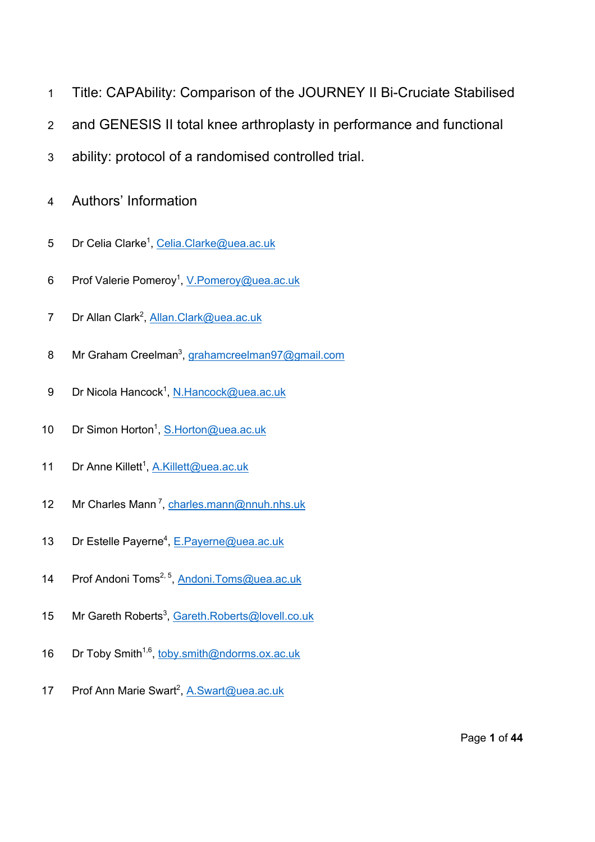- 1 Title: CAPAbility: Comparison of the JOURNEY II Bi-Cruciate Stabilised
- 2 and GENESIS II total knee arthroplasty in performance and functional
- 3 ability: protocol of a randomised controlled trial.
- 4 Authors' Information
- 5 Dr Celia Clarke<sup>1</sup>, Celia.Clarke@uea.ac.uk
- 6 Prof Valerie Pomeroy<sup>1</sup>, V.Pomeroy@uea.ac.uk
- 7 Dr Allan Clark<sup>2</sup>, Allan.Clark@uea.ac.uk
- 8 Mr Graham Creelman<sup>3</sup>, grahamcreelman97@gmail.com
- 9 Dr Nicola Hancock<sup>1</sup>, N.Hancock@uea.ac.uk
- 10 Dr Simon Horton<sup>1</sup>, S.Horton@uea.ac.uk
- 11 Dr Anne Killett<sup>1</sup>, A.Killett@uea.ac.uk
- 12 Mr Charles Mann<sup>7</sup>, charles.mann@nnuh.nhs.uk
- 13 Dr Estelle Payerne<sup>4</sup>, E.Payerne@uea.ac.uk
- 14 Prof Andoni Toms<sup>2, 5</sup>, Andoni.Toms@uea.ac.uk
- 15 Mr Gareth Roberts<sup>3</sup>, Gareth.Roberts@lovell.co.uk
- 16 Dr Toby Smith<sup>1,6</sup>, toby.smith@ndorms.ox.ac.uk
- 17 Prof Ann Marie Swart<sup>2</sup>, A.Swart@uea.ac.uk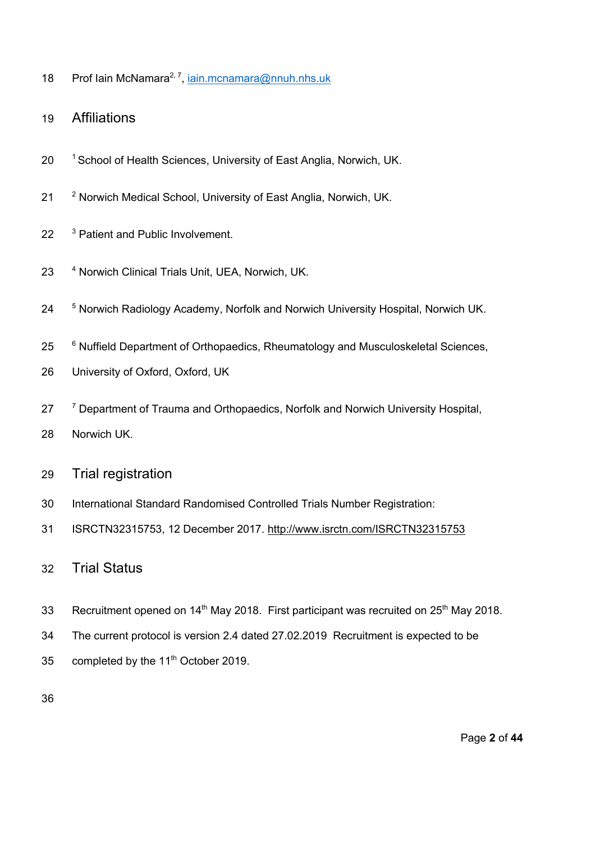- 18 Prof Iain McNamara<sup>2, 7</sup>, iain.mcnamara@nnuh.nhs.uk
- 19 Affiliations
- 20 <sup>1</sup> School of Health Sciences, University of East Anglia, Norwich, UK.
- 21 <sup>2</sup> Norwich Medical School, University of East Anglia, Norwich, UK.
- 22 <sup>3</sup> Patient and Public Involvement.
- 23 <sup>4</sup> Norwich Clinical Trials Unit, UEA, Norwich, UK.
- 24 <sup>5</sup> Norwich Radiology Academy, Norfolk and Norwich University Hospital, Norwich UK.
- 25 <sup>6</sup> Nuffield Department of Orthopaedics, Rheumatology and Musculoskeletal Sciences,
- 26 University of Oxford, Oxford, UK
- <sup>7</sup> Department of Trauma and Orthopaedics, Norfolk and Norwich University Hospital, 28 Norwich UK.
- 29 Trial registration
- 30 International Standard Randomised Controlled Trials Number Registration:
- 31 ISRCTN32315753, 12 December 2017. http://www.isrctn.com/ISRCTN32315753
- 32 Trial Status
- 33 Recruitment opened on  $14<sup>th</sup>$  May 2018. First participant was recruited on 25<sup>th</sup> May 2018.
- 34 The current protocol is version 2.4 dated 27.02.2019 Recruitment is expected to be
- 35 completed by the  $11<sup>th</sup>$  October 2019.

36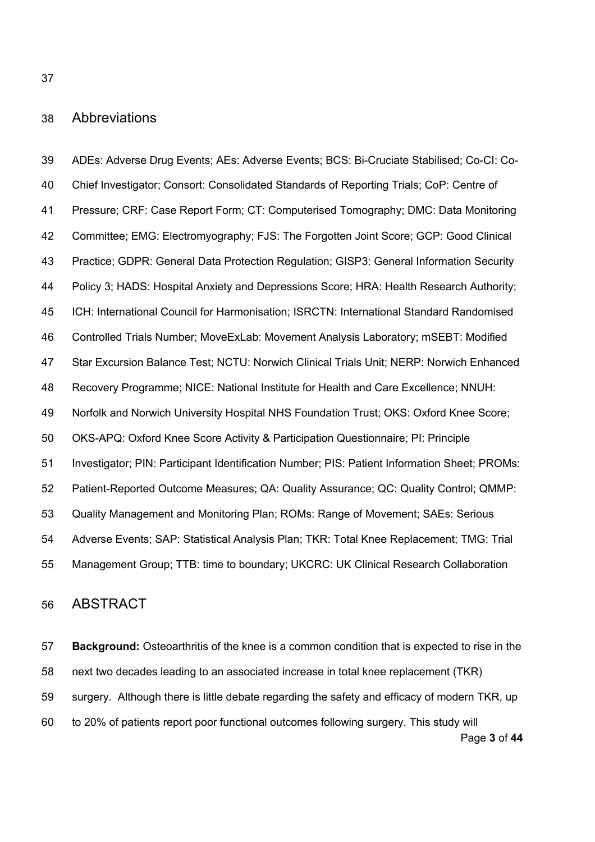Abbreviations

 ADEs: Adverse Drug Events; AEs: Adverse Events; BCS: Bi-Cruciate Stabilised; Co-CI: Co- Chief Investigator; Consort: Consolidated Standards of Reporting Trials; CoP: Centre of Pressure; CRF: Case Report Form; CT: Computerised Tomography; DMC: Data Monitoring Committee; EMG: Electromyography; FJS: The Forgotten Joint Score; GCP: Good Clinical Practice; GDPR: General Data Protection Regulation; GISP3: General Information Security Policy 3; HADS: Hospital Anxiety and Depressions Score; HRA: Health Research Authority; ICH: International Council for Harmonisation; ISRCTN: International Standard Randomised Controlled Trials Number; MoveExLab: Movement Analysis Laboratory; mSEBT: Modified Star Excursion Balance Test; NCTU: Norwich Clinical Trials Unit; NERP: Norwich Enhanced Recovery Programme; NICE: National Institute for Health and Care Excellence; NNUH: Norfolk and Norwich University Hospital NHS Foundation Trust; OKS: Oxford Knee Score; OKS-APQ: Oxford Knee Score Activity & Participation Questionnaire; PI: Principle Investigator; PIN: Participant Identification Number; PIS: Patient Information Sheet; PROMs: Patient-Reported Outcome Measures; QA: Quality Assurance; QC: Quality Control; QMMP: Quality Management and Monitoring Plan; ROMs: Range of Movement; SAEs: Serious Adverse Events; SAP: Statistical Analysis Plan; TKR: Total Knee Replacement; TMG: Trial Management Group; TTB: time to boundary; UKCRC: UK Clinical Research Collaboration

# ABSTRACT

Page **3** of **44 Background:** Osteoarthritis of the knee is a common condition that is expected to rise in the next two decades leading to an associated increase in total knee replacement (TKR) surgery. Although there is little debate regarding the safety and efficacy of modern TKR, up to 20% of patients report poor functional outcomes following surgery. This study will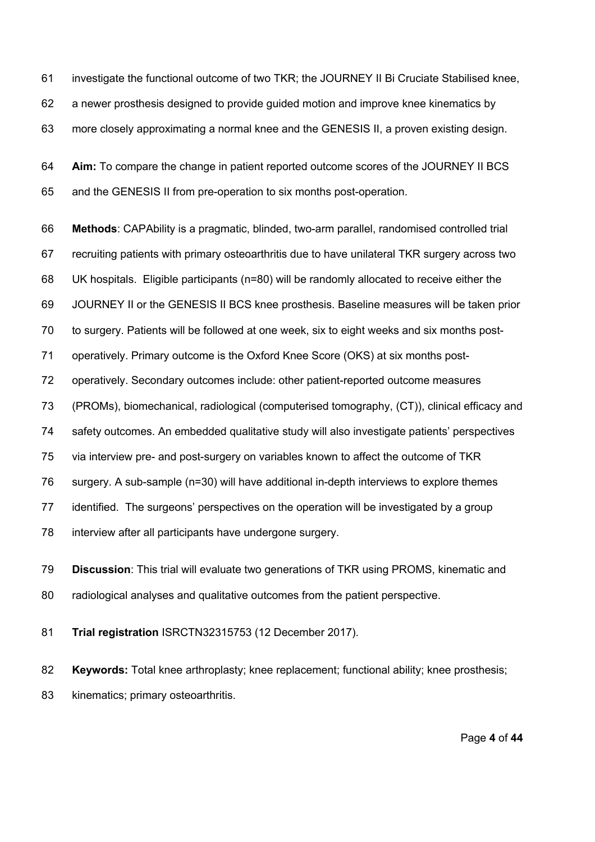investigate the functional outcome of two TKR; the JOURNEY II Bi Cruciate Stabilised knee,

a newer prosthesis designed to provide guided motion and improve knee kinematics by

more closely approximating a normal knee and the GENESIS II, a proven existing design.

 **Aim:** To compare the change in patient reported outcome scores of the JOURNEY II BCS and the GENESIS II from pre-operation to six months post-operation.

 **Methods**: CAPAbility is a pragmatic, blinded, two-arm parallel, randomised controlled trial recruiting patients with primary osteoarthritis due to have unilateral TKR surgery across two UK hospitals. Eligible participants (n=80) will be randomly allocated to receive either the JOURNEY II or the GENESIS II BCS knee prosthesis. Baseline measures will be taken prior to surgery. Patients will be followed at one week, six to eight weeks and six months post- operatively. Primary outcome is the Oxford Knee Score (OKS) at six months post- operatively. Secondary outcomes include: other patient-reported outcome measures (PROMs), biomechanical, radiological (computerised tomography, (CT)), clinical efficacy and safety outcomes. An embedded qualitative study will also investigate patients' perspectives via interview pre- and post-surgery on variables known to affect the outcome of TKR surgery. A sub-sample (n=30) will have additional in-depth interviews to explore themes identified. The surgeons' perspectives on the operation will be investigated by a group interview after all participants have undergone surgery.

 **Discussion**: This trial will evaluate two generations of TKR using PROMS, kinematic and radiological analyses and qualitative outcomes from the patient perspective.

**Trial registration** ISRCTN32315753 (12 December 2017).

 **Keywords:** Total knee arthroplasty; knee replacement; functional ability; knee prosthesis; kinematics; primary osteoarthritis.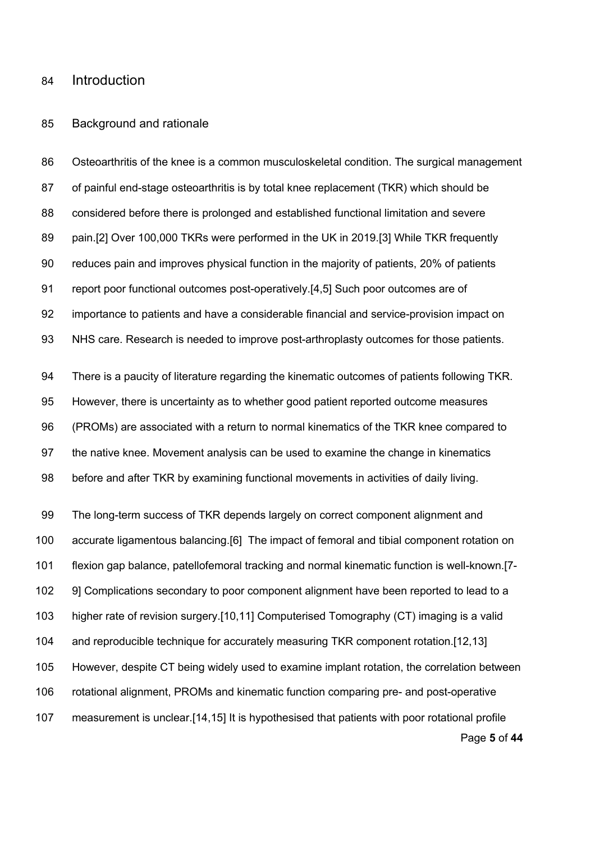# Introduction

#### Background and rationale

 Osteoarthritis of the knee is a common musculoskeletal condition. The surgical management of painful end-stage osteoarthritis is by total knee replacement (TKR) which should be considered before there is prolonged and established functional limitation and severe pain.[2] Over 100,000 TKRs were performed in the UK in 2019.[3] While TKR frequently reduces pain and improves physical function in the majority of patients, 20% of patients report poor functional outcomes post-operatively.[4,5] Such poor outcomes are of importance to patients and have a considerable financial and service-provision impact on NHS care. Research is needed to improve post-arthroplasty outcomes for those patients.

 There is a paucity of literature regarding the kinematic outcomes of patients following TKR. However, there is uncertainty as to whether good patient reported outcome measures (PROMs) are associated with a return to normal kinematics of the TKR knee compared to the native knee. Movement analysis can be used to examine the change in kinematics before and after TKR by examining functional movements in activities of daily living.

Page **5** of **44** The long-term success of TKR depends largely on correct component alignment and accurate ligamentous balancing.[6] The impact of femoral and tibial component rotation on flexion gap balance, patellofemoral tracking and normal kinematic function is well-known.[7- 9] Complications secondary to poor component alignment have been reported to lead to a higher rate of revision surgery.[10,11] Computerised Tomography (CT) imaging is a valid and reproducible technique for accurately measuring TKR component rotation.[12,13] However, despite CT being widely used to examine implant rotation, the correlation between rotational alignment, PROMs and kinematic function comparing pre- and post-operative measurement is unclear.[14,15] It is hypothesised that patients with poor rotational profile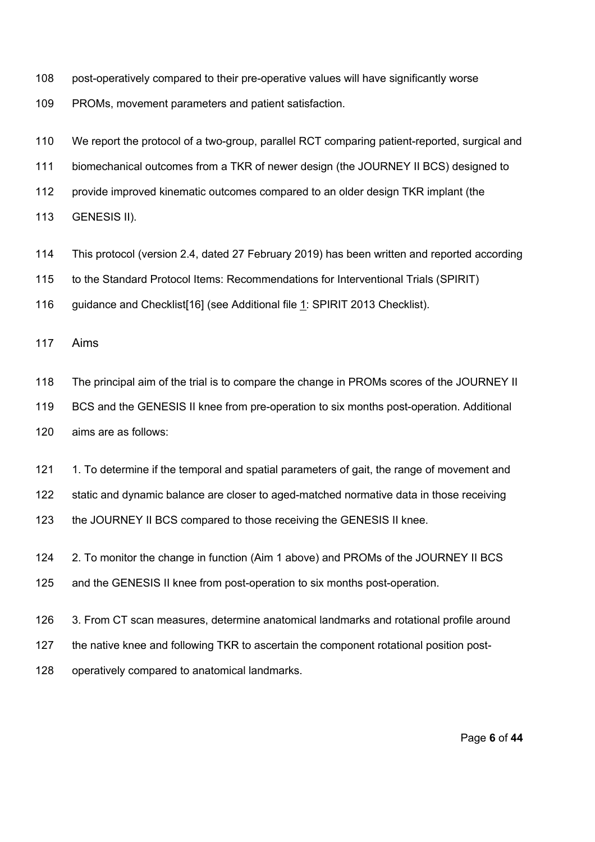- post-operatively compared to their pre-operative values will have significantly worse
- PROMs, movement parameters and patient satisfaction.

We report the protocol of a two-group, parallel RCT comparing patient-reported, surgical and

biomechanical outcomes from a TKR of newer design (the JOURNEY II BCS) designed to

- provide improved kinematic outcomes compared to an older design TKR implant (the
- GENESIS II).
- This protocol (version 2.4, dated 27 February 2019) has been written and reported according

to the Standard Protocol Items: Recommendations for Interventional Trials (SPIRIT)

guidance and Checklist[16] (see Additional file 1: SPIRIT 2013 Checklist).

Aims

The principal aim of the trial is to compare the change in PROMs scores of the JOURNEY II

 BCS and the GENESIS II knee from pre-operation to six months post-operation. Additional aims are as follows:

 1. To determine if the temporal and spatial parameters of gait, the range of movement and static and dynamic balance are closer to aged-matched normative data in those receiving the JOURNEY II BCS compared to those receiving the GENESIS II knee.

2. To monitor the change in function (Aim 1 above) and PROMs of the JOURNEY II BCS

and the GENESIS II knee from post-operation to six months post-operation.

- 3. From CT scan measures, determine anatomical landmarks and rotational profile around
- the native knee and following TKR to ascertain the component rotational position post-

operatively compared to anatomical landmarks.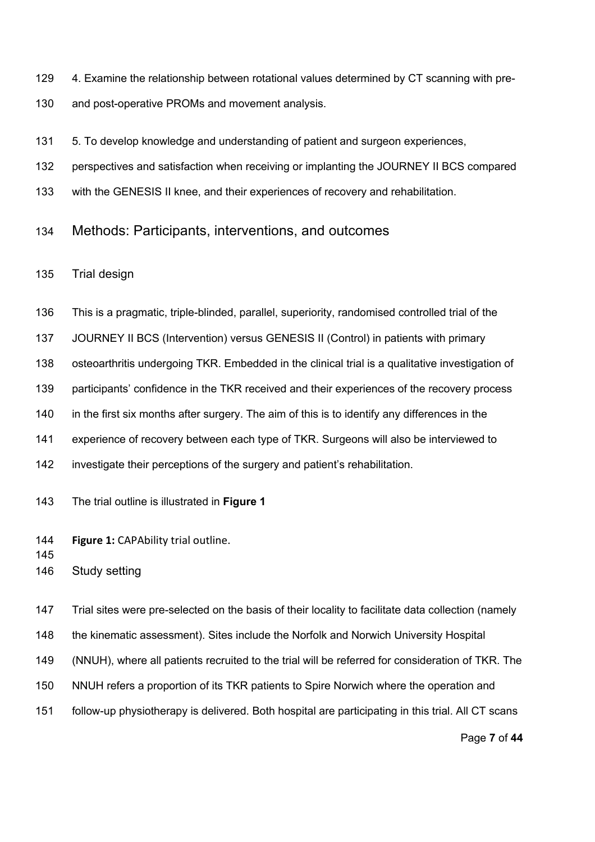- 4. Examine the relationship between rotational values determined by CT scanning with pre-
- and post-operative PROMs and movement analysis.
- 5. To develop knowledge and understanding of patient and surgeon experiences,
- perspectives and satisfaction when receiving or implanting the JOURNEY II BCS compared
- with the GENESIS II knee, and their experiences of recovery and rehabilitation.
- Methods: Participants, interventions, and outcomes

Trial design

- This is a pragmatic, triple-blinded, parallel, superiority, randomised controlled trial of the
- 137 JOURNEY II BCS (Intervention) versus GENESIS II (Control) in patients with primary
- osteoarthritis undergoing TKR. Embedded in the clinical trial is a qualitative investigation of
- 139 participants' confidence in the TKR received and their experiences of the recovery process
- in the first six months after surgery. The aim of this is to identify any differences in the
- experience of recovery between each type of TKR. Surgeons will also be interviewed to
- investigate their perceptions of the surgery and patient's rehabilitation.
- The trial outline is illustrated in **Figure 1**
- **Figure 1:** CAPAbility trial outline.
- 
- Study setting

Trial sites were pre-selected on the basis of their locality to facilitate data collection (namely

the kinematic assessment). Sites include the Norfolk and Norwich University Hospital

- (NNUH), where all patients recruited to the trial will be referred for consideration of TKR. The
- NNUH refers a proportion of its TKR patients to Spire Norwich where the operation and
- follow-up physiotherapy is delivered. Both hospital are participating in this trial. All CT scans

Page **7** of **44**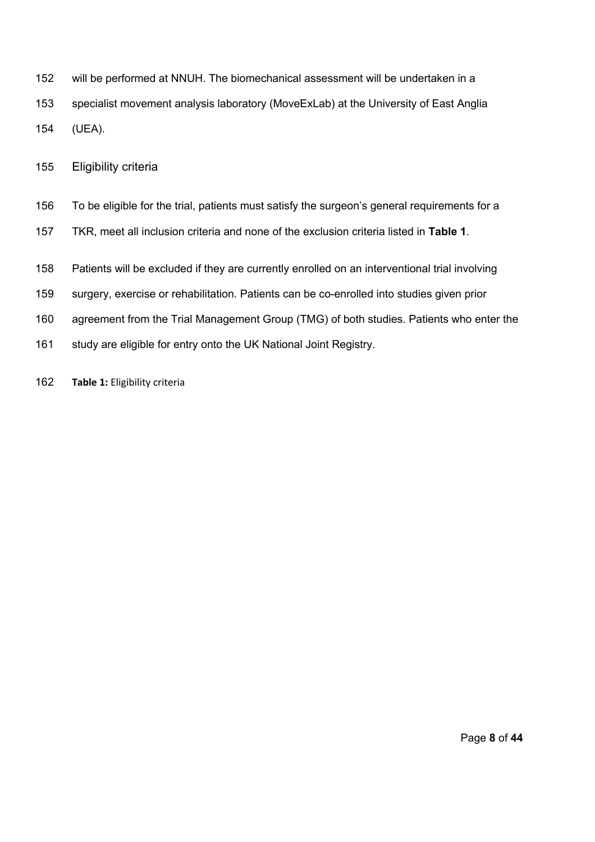will be performed at NNUH. The biomechanical assessment will be undertaken in a specialist movement analysis laboratory (MoveExLab) at the University of East Anglia (UEA).

Eligibility criteria

- To be eligible for the trial, patients must satisfy the surgeon's general requirements for a
- TKR, meet all inclusion criteria and none of the exclusion criteria listed in **Table 1**.
- Patients will be excluded if they are currently enrolled on an interventional trial involving
- surgery, exercise or rehabilitation. Patients can be co-enrolled into studies given prior
- agreement from the Trial Management Group (TMG) of both studies. Patients who enter the
- study are eligible for entry onto the UK National Joint Registry.
- **Table 1:** Eligibility criteria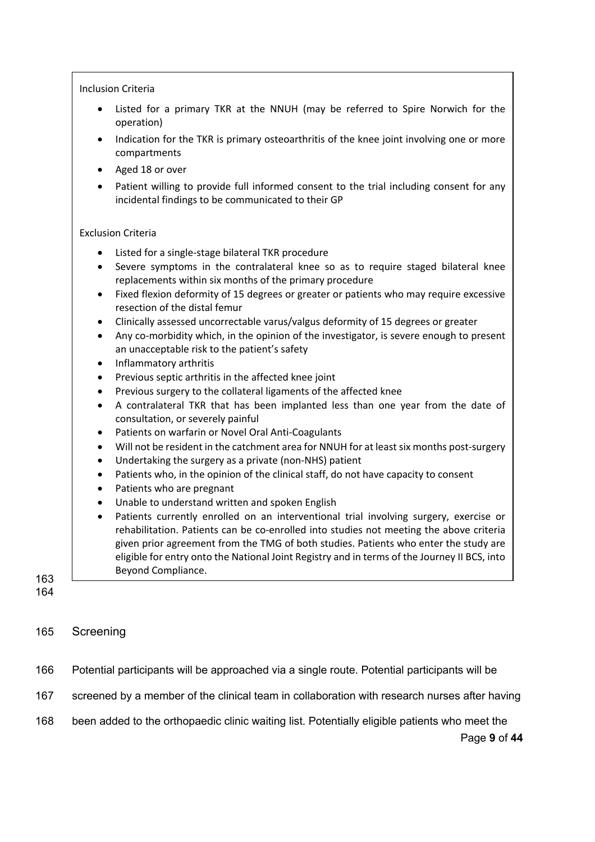## Inclusion Criteria

- Listed for a primary TKR at the NNUH (may be referred to Spire Norwich for the operation)
- Indication for the TKR is primary osteoarthritis of the knee joint involving one or more compartments
- Aged 18 or over
- Patient willing to provide full informed consent to the trial including consent for any incidental findings to be communicated to their GP

#### Exclusion Criteria

- Listed for a single-stage bilateral TKR procedure
- Severe symptoms in the contralateral knee so as to require staged bilateral knee replacements within six months of the primary procedure
- Fixed flexion deformity of 15 degrees or greater or patients who may require excessive resection of the distal femur
- Clinically assessed uncorrectable varus/valgus deformity of 15 degrees or greater
- Any co-morbidity which, in the opinion of the investigator, is severe enough to present an unacceptable risk to the patient's safety
- Inflammatory arthritis
- Previous septic arthritis in the affected knee joint
- Previous surgery to the collateral ligaments of the affected knee
- A contralateral TKR that has been implanted less than one year from the date of consultation, or severely painful
- Patients on warfarin or Novel Oral Anti-Coagulants
- Will not be resident in the catchment area for NNUH for at least six months post-surgery
- Undertaking the surgery as a private (non-NHS) patient
- Patients who, in the opinion of the clinical staff, do not have capacity to consent
- Patients who are pregnant
- Unable to understand written and spoken English
- Patients currently enrolled on an interventional trial involving surgery, exercise or rehabilitation. Patients can be co-enrolled into studies not meeting the above criteria given prior agreement from the TMG of both studies. Patients who enter the study are eligible for entry onto the National Joint Registry and in terms of the Journey II BCS, into Beyond Compliance.

163 164

- 165 Screening
- 166 Potential participants will be approached via a single route. Potential participants will be
- 167 screened by a member of the clinical team in collaboration with research nurses after having
- 168 been added to the orthopaedic clinic waiting list. Potentially eligible patients who meet the

Page **9** of **44**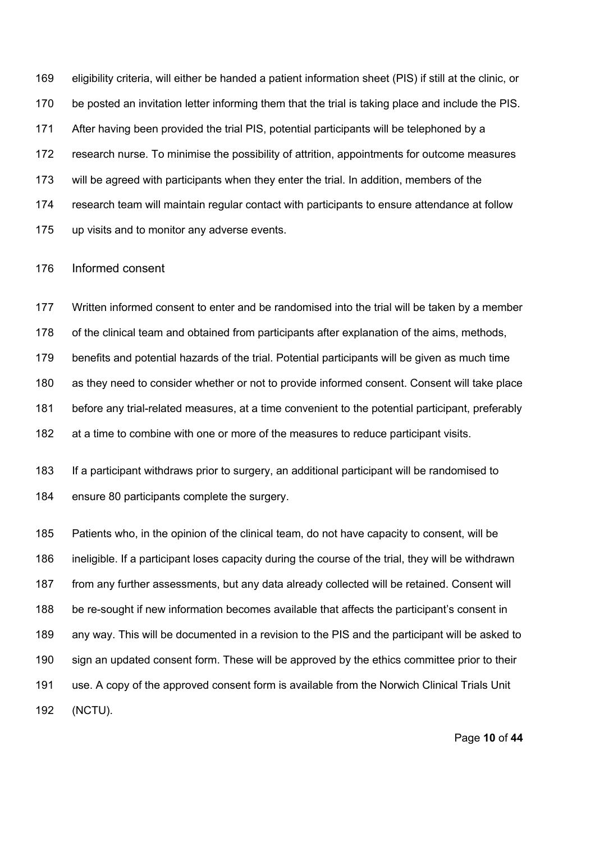eligibility criteria, will either be handed a patient information sheet (PIS) if still at the clinic, or be posted an invitation letter informing them that the trial is taking place and include the PIS. After having been provided the trial PIS, potential participants will be telephoned by a research nurse. To minimise the possibility of attrition, appointments for outcome measures will be agreed with participants when they enter the trial. In addition, members of the research team will maintain regular contact with participants to ensure attendance at follow up visits and to monitor any adverse events.

## Informed consent

 Written informed consent to enter and be randomised into the trial will be taken by a member of the clinical team and obtained from participants after explanation of the aims, methods, benefits and potential hazards of the trial. Potential participants will be given as much time as they need to consider whether or not to provide informed consent. Consent will take place before any trial-related measures, at a time convenient to the potential participant, preferably at a time to combine with one or more of the measures to reduce participant visits.

 If a participant withdraws prior to surgery, an additional participant will be randomised to ensure 80 participants complete the surgery.

 Patients who, in the opinion of the clinical team, do not have capacity to consent, will be ineligible. If a participant loses capacity during the course of the trial, they will be withdrawn from any further assessments, but any data already collected will be retained. Consent will be re-sought if new information becomes available that affects the participant's consent in any way. This will be documented in a revision to the PIS and the participant will be asked to sign an updated consent form. These will be approved by the ethics committee prior to their use. A copy of the approved consent form is available from the Norwich Clinical Trials Unit (NCTU).

Page **10** of **44**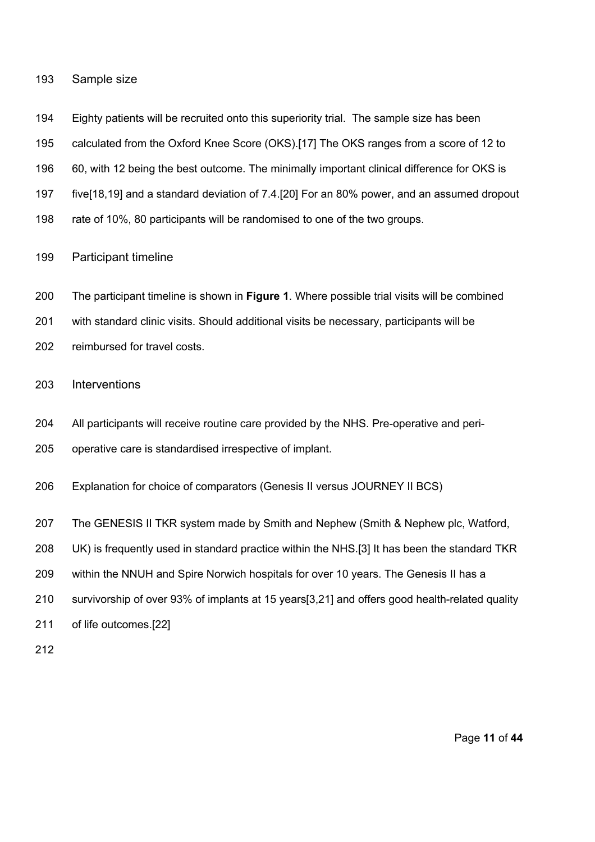#### Sample size

- Eighty patients will be recruited onto this superiority trial. The sample size has been
- calculated from the Oxford Knee Score (OKS).[17] The OKS ranges from a score of 12 to
- 196 60, with 12 being the best outcome. The minimally important clinical difference for OKS is
- five[18,19] and a standard deviation of 7.4.[20] For an 80% power, and an assumed dropout
- rate of 10%, 80 participants will be randomised to one of the two groups.

## Participant timeline

- The participant timeline is shown in **Figure 1**. Where possible trial visits will be combined
- with standard clinic visits. Should additional visits be necessary, participants will be
- reimbursed for travel costs.

### Interventions

- All participants will receive routine care provided by the NHS. Pre-operative and peri-
- operative care is standardised irrespective of implant.
- Explanation for choice of comparators (Genesis II versus JOURNEY II BCS)
- 207 The GENESIS II TKR system made by Smith and Nephew (Smith & Nephew plc, Watford,
- UK) is frequently used in standard practice within the NHS.[3] It has been the standard TKR
- within the NNUH and Spire Norwich hospitals for over 10 years. The Genesis II has a
- survivorship of over 93% of implants at 15 years[3,21] and offers good health-related quality
- of life outcomes.[22]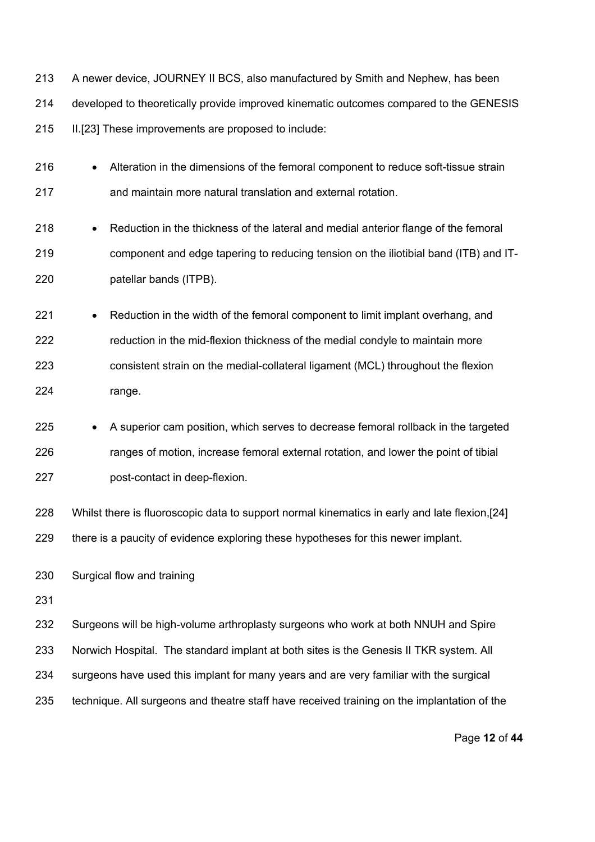A newer device, JOURNEY II BCS, also manufactured by Smith and Nephew, has been developed to theoretically provide improved kinematic outcomes compared to the GENESIS II.[23] These improvements are proposed to include:

216 • Alteration in the dimensions of the femoral component to reduce soft-tissue strain and maintain more natural translation and external rotation.

- Reduction in the thickness of the lateral and medial anterior flange of the femoral component and edge tapering to reducing tension on the iliotibial band (ITB) and IT-patellar bands (ITPB).
- Reduction in the width of the femoral component to limit implant overhang, and reduction in the mid-flexion thickness of the medial condyle to maintain more consistent strain on the medial-collateral ligament (MCL) throughout the flexion range.
- 225 A superior cam position, which serves to decrease femoral rollback in the targeted 226 ranges of motion, increase femoral external rotation, and lower the point of tibial post-contact in deep-flexion.

 Whilst there is fluoroscopic data to support normal kinematics in early and late flexion,[24] there is a paucity of evidence exploring these hypotheses for this newer implant.

Surgical flow and training

 Surgeons will be high-volume arthroplasty surgeons who work at both NNUH and Spire Norwich Hospital. The standard implant at both sites is the Genesis II TKR system. All surgeons have used this implant for many years and are very familiar with the surgical technique. All surgeons and theatre staff have received training on the implantation of the

Page **12** of **44**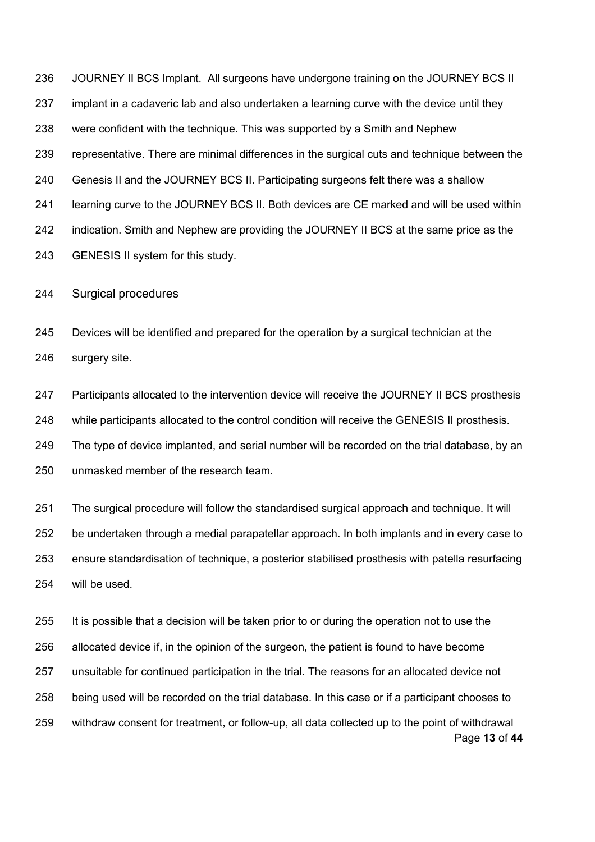JOURNEY II BCS Implant. All surgeons have undergone training on the JOURNEY BCS II 237 implant in a cadaveric lab and also undertaken a learning curve with the device until they were confident with the technique. This was supported by a Smith and Nephew representative. There are minimal differences in the surgical cuts and technique between the Genesis II and the JOURNEY BCS II. Participating surgeons felt there was a shallow learning curve to the JOURNEY BCS II. Both devices are CE marked and will be used within indication. Smith and Nephew are providing the JOURNEY II BCS at the same price as the GENESIS II system for this study.

Surgical procedures

 Devices will be identified and prepared for the operation by a surgical technician at the surgery site.

247 Participants allocated to the intervention device will receive the JOURNEY II BCS prosthesis while participants allocated to the control condition will receive the GENESIS II prosthesis. The type of device implanted, and serial number will be recorded on the trial database, by an unmasked member of the research team.

 The surgical procedure will follow the standardised surgical approach and technique. It will be undertaken through a medial parapatellar approach. In both implants and in every case to ensure standardisation of technique, a posterior stabilised prosthesis with patella resurfacing will be used.

Page **13** of **44** It is possible that a decision will be taken prior to or during the operation not to use the allocated device if, in the opinion of the surgeon, the patient is found to have become unsuitable for continued participation in the trial. The reasons for an allocated device not being used will be recorded on the trial database. In this case or if a participant chooses to withdraw consent for treatment, or follow-up, all data collected up to the point of withdrawal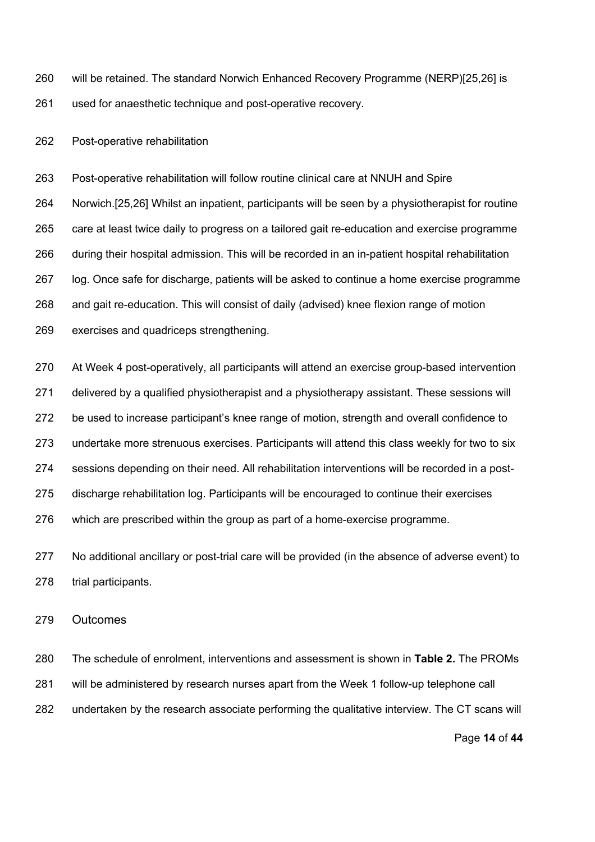will be retained. The standard Norwich Enhanced Recovery Programme (NERP)[25,26] is used for anaesthetic technique and post-operative recovery.

Post-operative rehabilitation

 Post-operative rehabilitation will follow routine clinical care at NNUH and Spire Norwich.[25,26] Whilst an inpatient, participants will be seen by a physiotherapist for routine care at least twice daily to progress on a tailored gait re-education and exercise programme during their hospital admission. This will be recorded in an in-patient hospital rehabilitation log. Once safe for discharge, patients will be asked to continue a home exercise programme and gait re-education. This will consist of daily (advised) knee flexion range of motion exercises and quadriceps strengthening.

 At Week 4 post-operatively, all participants will attend an exercise group-based intervention delivered by a qualified physiotherapist and a physiotherapy assistant. These sessions will be used to increase participant's knee range of motion, strength and overall confidence to undertake more strenuous exercises. Participants will attend this class weekly for two to six sessions depending on their need. All rehabilitation interventions will be recorded in a post- discharge rehabilitation log. Participants will be encouraged to continue their exercises which are prescribed within the group as part of a home-exercise programme.

 No additional ancillary or post-trial care will be provided (in the absence of adverse event) to trial participants.

Outcomes

 The schedule of enrolment, interventions and assessment is shown in **Table 2.** The PROMs will be administered by research nurses apart from the Week 1 follow-up telephone call undertaken by the research associate performing the qualitative interview. The CT scans will

Page **14** of **44**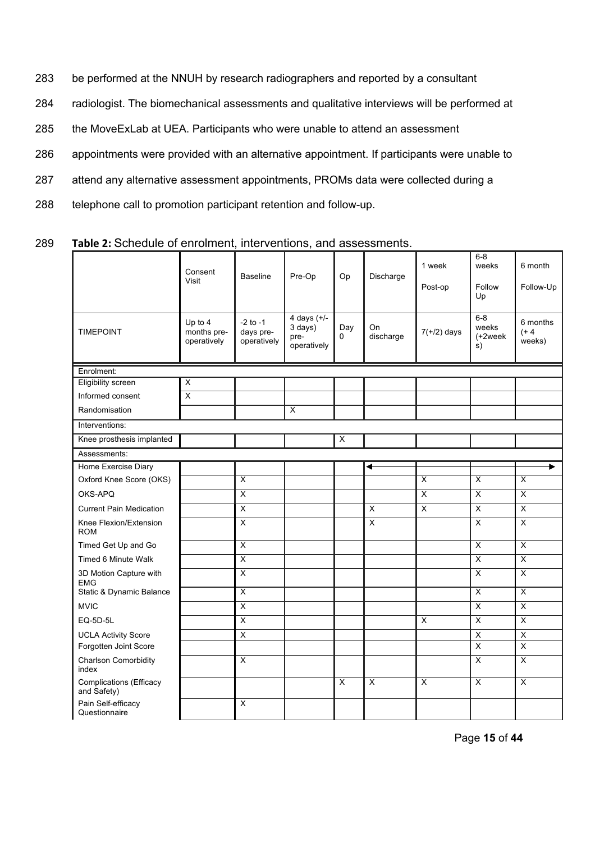- 283 be performed at the NNUH by research radiographers and reported by a consultant
- 284 radiologist. The biomechanical assessments and qualitative interviews will be performed at
- 285 the MoveExLab at UEA. Participants who were unable to attend an assessment
- 286 appointments were provided with an alternative appointment. If participants were unable to
- 287 attend any alternative assessment appointments, PROMs data were collected during a
- 288 telephone call to promotion participant retention and follow-up.

|                                               | Consent<br>Visit                      | <b>Baseline</b>                          | Pre-Op                                          | Op                      | Discharge               | 1 week<br>Post-op       | $6 - 8$<br>weeks<br>Follow<br>Up  | 6 month<br>Follow-Up          |
|-----------------------------------------------|---------------------------------------|------------------------------------------|-------------------------------------------------|-------------------------|-------------------------|-------------------------|-----------------------------------|-------------------------------|
| <b>TIMEPOINT</b>                              | Up to 4<br>months pre-<br>operatively | $-2$ to $-1$<br>days pre-<br>operatively | 4 days $(+/-$<br>3 days)<br>pre-<br>operatively | Day<br>$\Omega$         | On<br>discharge         | $7(+/2)$ days           | $6 - 8$<br>weeks<br>(+2week<br>s) | 6 months<br>$(+ 4)$<br>weeks) |
| Enrolment:                                    |                                       |                                          |                                                 |                         |                         |                         |                                   |                               |
| <b>Eligibility screen</b>                     | $\overline{\mathsf{x}}$               |                                          |                                                 |                         |                         |                         |                                   |                               |
| Informed consent                              | $\overline{\mathsf{x}}$               |                                          |                                                 |                         |                         |                         |                                   |                               |
| Randomisation                                 |                                       |                                          | X                                               |                         |                         |                         |                                   |                               |
| Interventions:                                |                                       |                                          |                                                 |                         |                         |                         |                                   |                               |
| Knee prosthesis implanted                     |                                       |                                          |                                                 | X                       |                         |                         |                                   |                               |
| Assessments:                                  |                                       |                                          |                                                 |                         |                         |                         |                                   |                               |
| Home Exercise Diary                           |                                       |                                          |                                                 |                         | ◀                       |                         |                                   |                               |
| Oxford Knee Score (OKS)                       |                                       | X                                        |                                                 |                         |                         | X                       | X                                 | X                             |
| OKS-APQ                                       |                                       | $\pmb{\times}$                           |                                                 |                         |                         | $\pmb{\times}$          | $\overline{x}$                    | $\overline{\mathsf{x}}$       |
| <b>Current Pain Medication</b>                |                                       | $\overline{\mathsf{x}}$                  |                                                 |                         | $\pmb{\times}$          | $\overline{\mathsf{x}}$ | $\overline{\mathsf{x}}$           | $\overline{\mathsf{x}}$       |
| Knee Flexion/Extension<br><b>ROM</b>          |                                       | $\boldsymbol{\mathsf{X}}$                |                                                 |                         | $\pmb{\times}$          |                         | $\pmb{\times}$                    | $\pmb{\times}$                |
| Timed Get Up and Go                           |                                       | $\overline{\mathsf{x}}$                  |                                                 |                         |                         |                         | $\overline{\mathsf{x}}$           | $\overline{\mathsf{x}}$       |
| Timed 6 Minute Walk                           |                                       | $\overline{\mathsf{x}}$                  |                                                 |                         |                         |                         | $\overline{\mathsf{x}}$           | $\overline{x}$                |
| 3D Motion Capture with<br><b>EMG</b>          |                                       | $\pmb{\times}$                           |                                                 |                         |                         |                         | $\overline{\mathsf{x}}$           | X                             |
| Static & Dynamic Balance                      |                                       | $\overline{\mathsf{x}}$                  |                                                 |                         |                         |                         | $\overline{x}$                    | $\overline{\mathsf{x}}$       |
| <b>MVIC</b>                                   |                                       | $\overline{\mathsf{x}}$                  |                                                 |                         |                         |                         | $\overline{\mathsf{x}}$           | $\overline{\mathsf{x}}$       |
| EQ-5D-5L                                      |                                       | $\overline{\mathsf{x}}$                  |                                                 |                         |                         | X                       | $\overline{\mathsf{x}}$           | $\overline{x}$                |
| <b>UCLA Activity Score</b>                    |                                       | $\boldsymbol{\mathsf{X}}$                |                                                 |                         |                         |                         | $\overline{\mathsf{x}}$           | $\overline{\mathsf{x}}$       |
| Forgotten Joint Score                         |                                       |                                          |                                                 |                         |                         |                         | $\overline{\mathsf{x}}$           | $\overline{\mathsf{x}}$       |
| <b>Charlson Comorbidity</b><br>index          |                                       | $\mathsf{x}$                             |                                                 |                         |                         |                         | $\overline{\mathsf{x}}$           | $\overline{\mathsf{x}}$       |
| <b>Complications (Efficacy</b><br>and Safety) |                                       |                                          |                                                 | $\overline{\mathsf{x}}$ | $\overline{\mathsf{x}}$ | $\overline{\mathsf{x}}$ | $\overline{\mathsf{x}}$           | $\overline{\mathsf{x}}$       |
| Pain Self-efficacy<br>Questionnaire           |                                       | X                                        |                                                 |                         |                         |                         |                                   |                               |

289 **Table 2:** Schedule of enrolment, interventions, and assessments.

Page **15** of **44**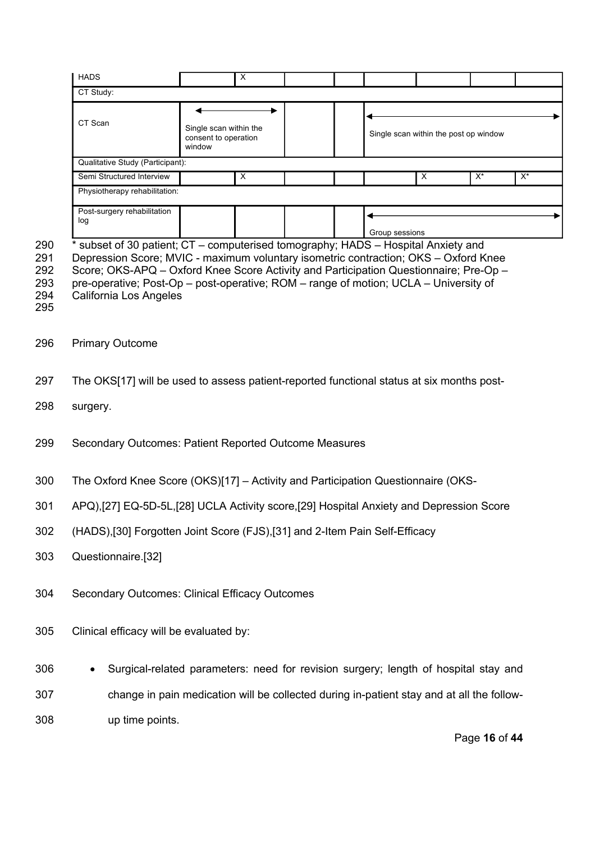|                                 | <b>HADS</b>                                                                                                                                                                                                                                                                                                                                                                              |                                                          | X |                                       |                |  |   |    |       |  |  |
|---------------------------------|------------------------------------------------------------------------------------------------------------------------------------------------------------------------------------------------------------------------------------------------------------------------------------------------------------------------------------------------------------------------------------------|----------------------------------------------------------|---|---------------------------------------|----------------|--|---|----|-------|--|--|
|                                 | CT Study:                                                                                                                                                                                                                                                                                                                                                                                |                                                          |   |                                       |                |  |   |    |       |  |  |
|                                 | CT Scan                                                                                                                                                                                                                                                                                                                                                                                  | Single scan within the<br>consent to operation<br>window |   | Single scan within the post op window |                |  |   |    |       |  |  |
|                                 | Qualitative Study (Participant):                                                                                                                                                                                                                                                                                                                                                         |                                                          |   |                                       |                |  |   |    |       |  |  |
|                                 | Semi Structured Interview                                                                                                                                                                                                                                                                                                                                                                |                                                          | X |                                       |                |  | X | X* | $X^*$ |  |  |
|                                 |                                                                                                                                                                                                                                                                                                                                                                                          | Physiotherapy rehabilitation:                            |   |                                       |                |  |   |    |       |  |  |
|                                 | Post-surgery rehabilitation<br>log                                                                                                                                                                                                                                                                                                                                                       |                                                          |   |                                       | Group sessions |  |   |    |       |  |  |
| 290<br>291<br>292<br>293<br>294 | subset of 30 patient; CT – computerised tomography; HADS – Hospital Anxiety and<br>Depression Score; MVIC - maximum voluntary isometric contraction; OKS - Oxford Knee<br>Score; OKS-APQ – Oxford Knee Score Activity and Participation Questionnaire; Pre-Op –<br>pre-operative; Post-Op – post-operative; ROM – range of motion; UCLA – University of<br><b>California Los Angeles</b> |                                                          |   |                                       |                |  |   |    |       |  |  |

- 295
- 
- 296 Primary Outcome
- 297 The OKS[17] will be used to assess patient-reported functional status at six months post-
- 298 surgery.
- 299 Secondary Outcomes: Patient Reported Outcome Measures
- 300 The Oxford Knee Score (OKS)[17] Activity and Participation Questionnaire (OKS-
- 301 APQ),[27] EQ-5D-5L,[28] UCLA Activity score,[29] Hospital Anxiety and Depression Score
- 302 (HADS),[30] Forgotten Joint Score (FJS),[31] and 2-Item Pain Self-Efficacy
- 303 Questionnaire.[32]
- 304 Secondary Outcomes: Clinical Efficacy Outcomes
- 305 Clinical efficacy will be evaluated by:
- 306 Surgical-related parameters: need for revision surgery; length of hospital stay and 307 change in pain medication will be collected during in-patient stay and at all the follow-308 up time points.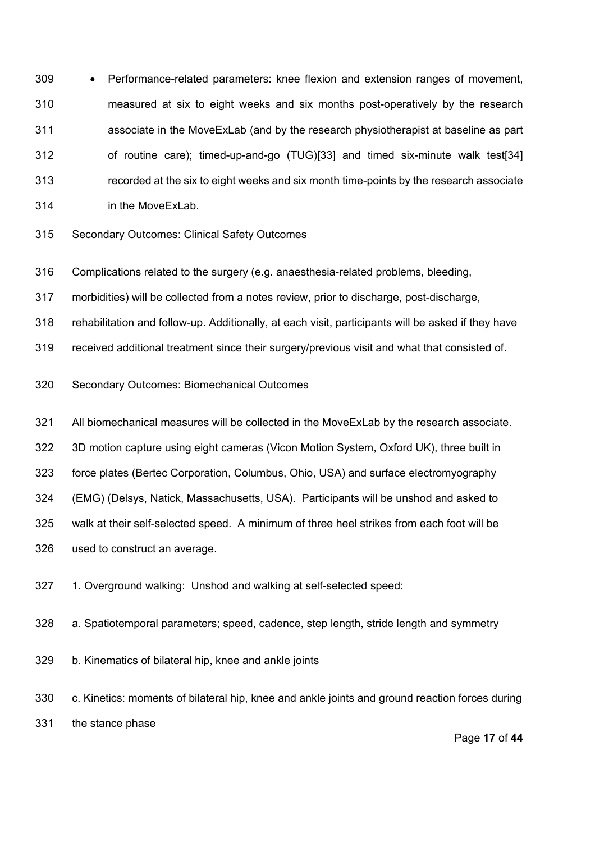• Performance-related parameters: knee flexion and extension ranges of movement, measured at six to eight weeks and six months post-operatively by the research associate in the MoveExLab (and by the research physiotherapist at baseline as part of routine care); timed-up-and-go (TUG)[33] and timed six-minute walk test[34] recorded at the six to eight weeks and six month time-points by the research associate in the MoveExLab.

Secondary Outcomes: Clinical Safety Outcomes

Complications related to the surgery (e.g. anaesthesia-related problems, bleeding,

morbidities) will be collected from a notes review, prior to discharge, post-discharge,

rehabilitation and follow-up. Additionally, at each visit, participants will be asked if they have

received additional treatment since their surgery/previous visit and what that consisted of.

Secondary Outcomes: Biomechanical Outcomes

All biomechanical measures will be collected in the MoveExLab by the research associate.

3D motion capture using eight cameras (Vicon Motion System, Oxford UK), three built in

force plates (Bertec Corporation, Columbus, Ohio, USA) and surface electromyography

(EMG) (Delsys, Natick, Massachusetts, USA). Participants will be unshod and asked to

walk at their self-selected speed. A minimum of three heel strikes from each foot will be

used to construct an average.

1. Overground walking: Unshod and walking at self-selected speed:

a. Spatiotemporal parameters; speed, cadence, step length, stride length and symmetry

b. Kinematics of bilateral hip, knee and ankle joints

 c. Kinetics: moments of bilateral hip, knee and ankle joints and ground reaction forces during the stance phase

Page **17** of **44**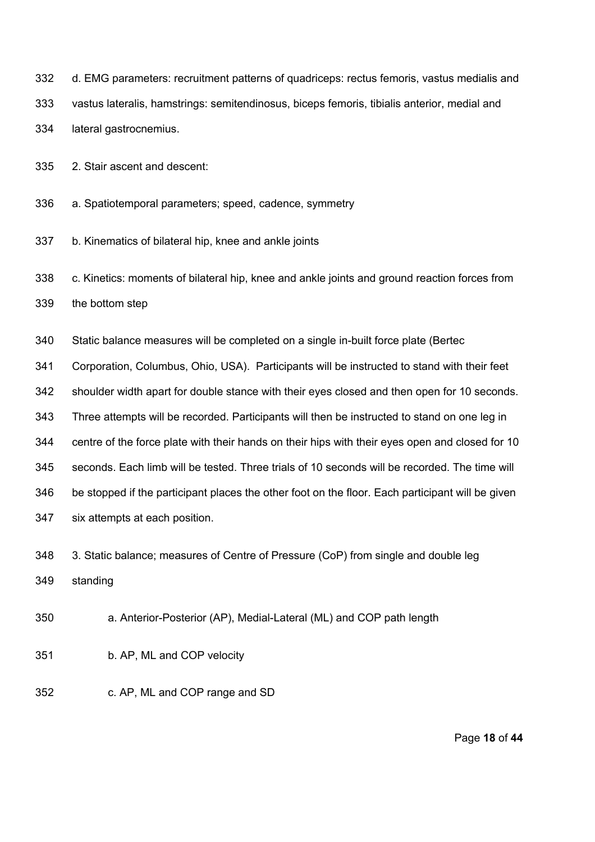- d. EMG parameters: recruitment patterns of quadriceps: rectus femoris, vastus medialis and
- vastus lateralis, hamstrings: semitendinosus, biceps femoris, tibialis anterior, medial and lateral gastrocnemius.
- 2. Stair ascent and descent:
- a. Spatiotemporal parameters; speed, cadence, symmetry
- b. Kinematics of bilateral hip, knee and ankle joints
- c. Kinetics: moments of bilateral hip, knee and ankle joints and ground reaction forces from the bottom step
- Static balance measures will be completed on a single in-built force plate (Bertec
- Corporation, Columbus, Ohio, USA). Participants will be instructed to stand with their feet
- shoulder width apart for double stance with their eyes closed and then open for 10 seconds.
- Three attempts will be recorded. Participants will then be instructed to stand on one leg in
- centre of the force plate with their hands on their hips with their eyes open and closed for 10
- seconds. Each limb will be tested. Three trials of 10 seconds will be recorded. The time will
- be stopped if the participant places the other foot on the floor. Each participant will be given
- six attempts at each position.
- 348 3. Static balance; measures of Centre of Pressure (CoP) from single and double leg
- standing
- a. Anterior-Posterior (AP), Medial-Lateral (ML) and COP path length
- b. AP, ML and COP velocity
- c. AP, ML and COP range and SD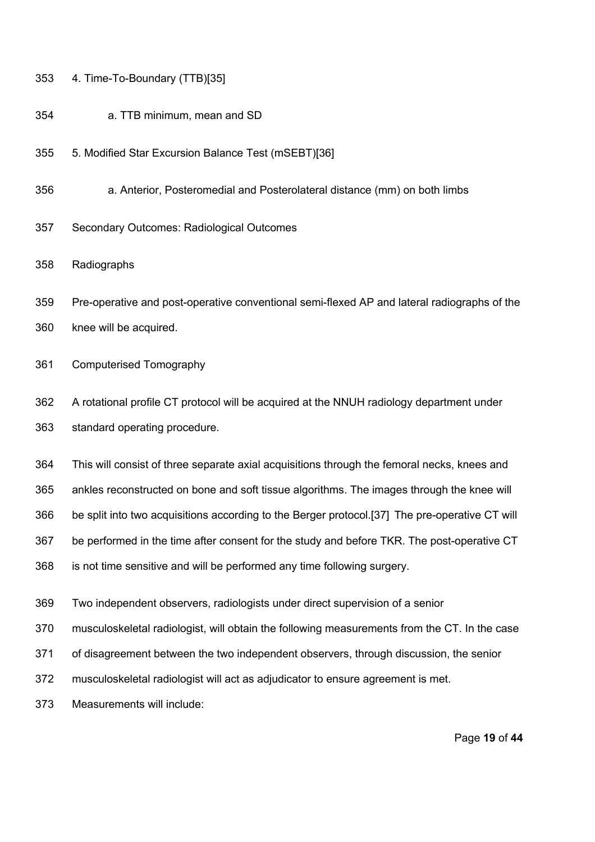#### 4. Time-To-Boundary (TTB)[35]

- a. TTB minimum, mean and SD
- 5. Modified Star Excursion Balance Test (mSEBT)[36]
- a. Anterior, Posteromedial and Posterolateral distance (mm) on both limbs
- Secondary Outcomes: Radiological Outcomes

Radiographs

- Pre-operative and post-operative conventional semi-flexed AP and lateral radiographs of the knee will be acquired.
- Computerised Tomography
- A rotational profile CT protocol will be acquired at the NNUH radiology department under standard operating procedure.

 This will consist of three separate axial acquisitions through the femoral necks, knees and ankles reconstructed on bone and soft tissue algorithms. The images through the knee will be split into two acquisitions according to the Berger protocol.[37] The pre-operative CT will be performed in the time after consent for the study and before TKR. The post-operative CT is not time sensitive and will be performed any time following surgery.

- Two independent observers, radiologists under direct supervision of a senior
- musculoskeletal radiologist, will obtain the following measurements from the CT. In the case
- of disagreement between the two independent observers, through discussion, the senior
- musculoskeletal radiologist will act as adjudicator to ensure agreement is met.

Measurements will include: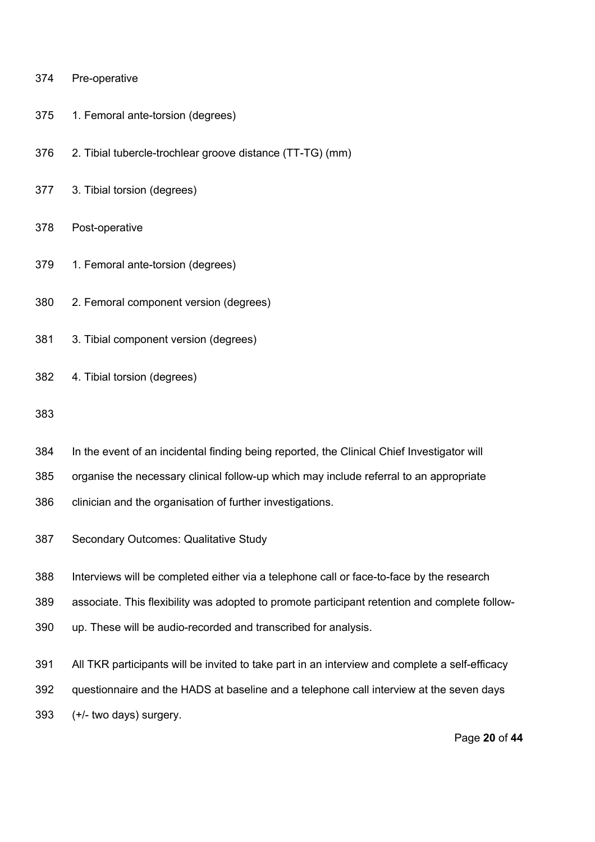### Pre-operative

- 1. Femoral ante-torsion (degrees)
- 2. Tibial tubercle-trochlear groove distance (TT-TG) (mm)
- 3. Tibial torsion (degrees)
- Post-operative
- 1. Femoral ante-torsion (degrees)
- 2. Femoral component version (degrees)
- 3. Tibial component version (degrees)
- 4. Tibial torsion (degrees)
- 
- In the event of an incidental finding being reported, the Clinical Chief Investigator will
- organise the necessary clinical follow-up which may include referral to an appropriate
- clinician and the organisation of further investigations.
- Secondary Outcomes: Qualitative Study
- Interviews will be completed either via a telephone call or face-to-face by the research
- associate. This flexibility was adopted to promote participant retention and complete follow-
- up. These will be audio-recorded and transcribed for analysis.
- All TKR participants will be invited to take part in an interview and complete a self-efficacy
- questionnaire and the HADS at baseline and a telephone call interview at the seven days
- (+/- two days) surgery.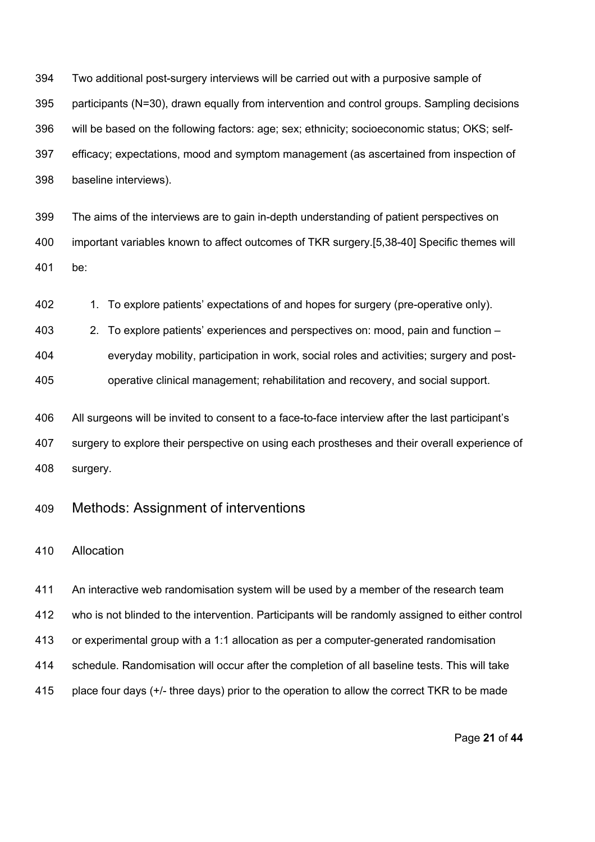Two additional post-surgery interviews will be carried out with a purposive sample of participants (N=30), drawn equally from intervention and control groups. Sampling decisions will be based on the following factors: age; sex; ethnicity; socioeconomic status; OKS; self- efficacy; expectations, mood and symptom management (as ascertained from inspection of baseline interviews).

 The aims of the interviews are to gain in-depth understanding of patient perspectives on important variables known to affect outcomes of TKR surgery.[5,38-40] Specific themes will be:

1. To explore patients' expectations of and hopes for surgery (pre-operative only).

2. To explore patients' experiences and perspectives on: mood, pain and function –

everyday mobility, participation in work, social roles and activities; surgery and post-

operative clinical management; rehabilitation and recovery, and social support.

 All surgeons will be invited to consent to a face-to-face interview after the last participant's surgery to explore their perspective on using each prostheses and their overall experience of surgery.

# Methods: Assignment of interventions

Allocation

 An interactive web randomisation system will be used by a member of the research team who is not blinded to the intervention. Participants will be randomly assigned to either control or experimental group with a 1:1 allocation as per a computer-generated randomisation schedule. Randomisation will occur after the completion of all baseline tests. This will take place four days (+/- three days) prior to the operation to allow the correct TKR to be made

Page **21** of **44**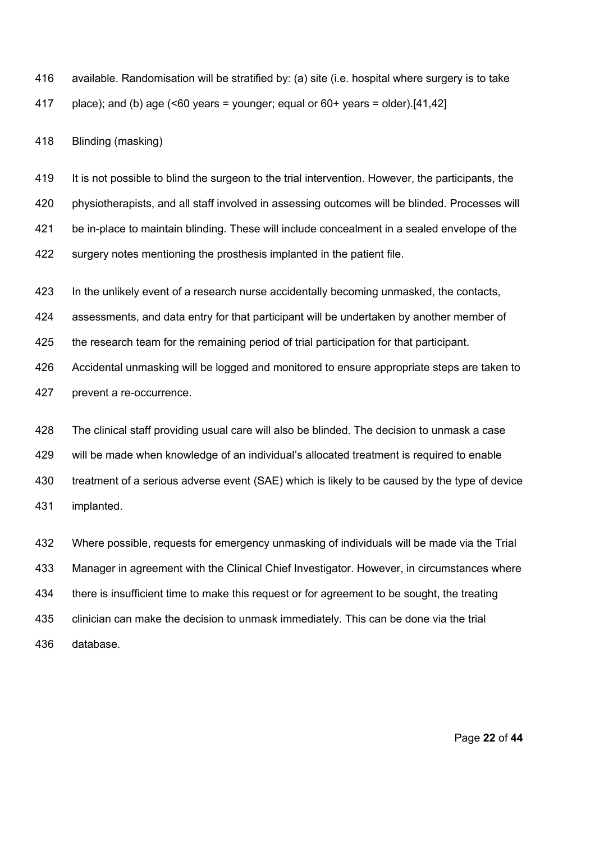available. Randomisation will be stratified by: (a) site (i.e. hospital where surgery is to take 417 place); and (b) age  $(50 \text{ years} = \text{young})$  equal or  $60+ \text{ years} = \text{older}.[41,42]$ 

Blinding (masking)

 It is not possible to blind the surgeon to the trial intervention. However, the participants, the physiotherapists, and all staff involved in assessing outcomes will be blinded. Processes will be in-place to maintain blinding. These will include concealment in a sealed envelope of the surgery notes mentioning the prosthesis implanted in the patient file.

In the unlikely event of a research nurse accidentally becoming unmasked, the contacts,

assessments, and data entry for that participant will be undertaken by another member of

the research team for the remaining period of trial participation for that participant.

 Accidental unmasking will be logged and monitored to ensure appropriate steps are taken to prevent a re-occurrence.

 The clinical staff providing usual care will also be blinded. The decision to unmask a case will be made when knowledge of an individual's allocated treatment is required to enable treatment of a serious adverse event (SAE) which is likely to be caused by the type of device implanted.

 Where possible, requests for emergency unmasking of individuals will be made via the Trial Manager in agreement with the Clinical Chief Investigator. However, in circumstances where 434 there is insufficient time to make this request or for agreement to be sought, the treating clinician can make the decision to unmask immediately. This can be done via the trial database.

Page **22** of **44**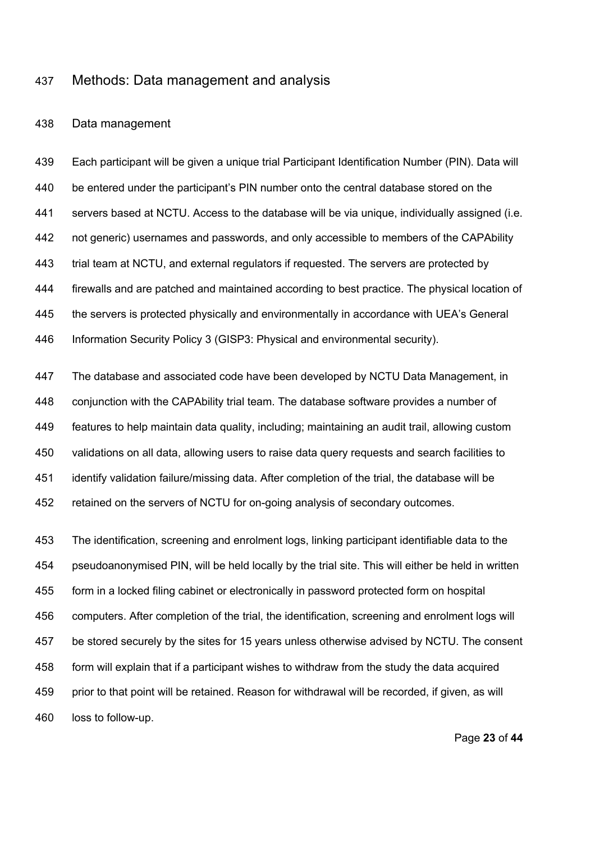## Methods: Data management and analysis

#### Data management

 Each participant will be given a unique trial Participant Identification Number (PIN). Data will be entered under the participant's PIN number onto the central database stored on the servers based at NCTU. Access to the database will be via unique, individually assigned (i.e. not generic) usernames and passwords, and only accessible to members of the CAPAbility trial team at NCTU, and external regulators if requested. The servers are protected by firewalls and are patched and maintained according to best practice. The physical location of the servers is protected physically and environmentally in accordance with UEA's General Information Security Policy 3 (GISP3: Physical and environmental security).

 The database and associated code have been developed by NCTU Data Management, in conjunction with the CAPAbility trial team. The database software provides a number of features to help maintain data quality, including; maintaining an audit trail, allowing custom validations on all data, allowing users to raise data query requests and search facilities to identify validation failure/missing data. After completion of the trial, the database will be retained on the servers of NCTU for on-going analysis of secondary outcomes.

 The identification, screening and enrolment logs, linking participant identifiable data to the pseudoanonymised PIN, will be held locally by the trial site. This will either be held in written form in a locked filing cabinet or electronically in password protected form on hospital computers. After completion of the trial, the identification, screening and enrolment logs will be stored securely by the sites for 15 years unless otherwise advised by NCTU. The consent form will explain that if a participant wishes to withdraw from the study the data acquired 459 prior to that point will be retained. Reason for withdrawal will be recorded, if given, as will loss to follow-up.

Page **23** of **44**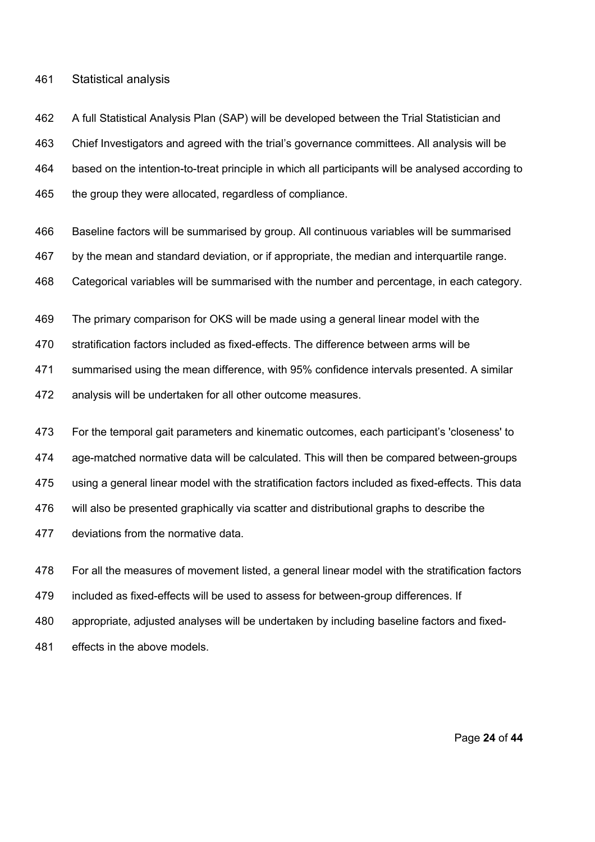#### Statistical analysis

 A full Statistical Analysis Plan (SAP) will be developed between the Trial Statistician and Chief Investigators and agreed with the trial's governance committees. All analysis will be based on the intention-to-treat principle in which all participants will be analysed according to the group they were allocated, regardless of compliance.

 Baseline factors will be summarised by group. All continuous variables will be summarised by the mean and standard deviation, or if appropriate, the median and interquartile range. Categorical variables will be summarised with the number and percentage, in each category.

The primary comparison for OKS will be made using a general linear model with the

stratification factors included as fixed-effects. The difference between arms will be

summarised using the mean difference, with 95% confidence intervals presented. A similar

analysis will be undertaken for all other outcome measures.

 For the temporal gait parameters and kinematic outcomes, each participant's 'closeness' to age-matched normative data will be calculated. This will then be compared between-groups using a general linear model with the stratification factors included as fixed-effects. This data will also be presented graphically via scatter and distributional graphs to describe the deviations from the normative data.

For all the measures of movement listed, a general linear model with the stratification factors

included as fixed-effects will be used to assess for between-group differences. If

appropriate, adjusted analyses will be undertaken by including baseline factors and fixed-

effects in the above models.

Page **24** of **44**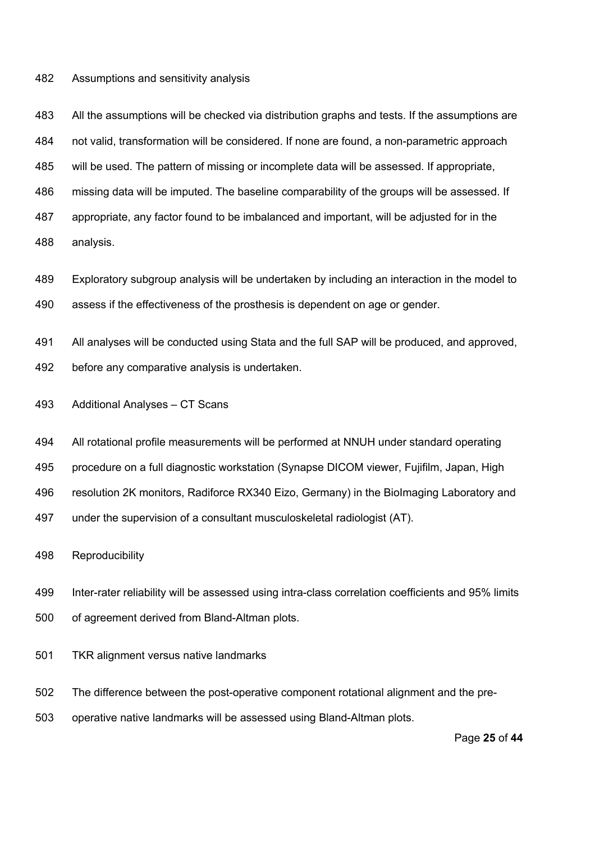Assumptions and sensitivity analysis

 All the assumptions will be checked via distribution graphs and tests. If the assumptions are not valid, transformation will be considered. If none are found, a non-parametric approach will be used. The pattern of missing or incomplete data will be assessed. If appropriate, missing data will be imputed. The baseline comparability of the groups will be assessed. If appropriate, any factor found to be imbalanced and important, will be adjusted for in the analysis.

 Exploratory subgroup analysis will be undertaken by including an interaction in the model to assess if the effectiveness of the prosthesis is dependent on age or gender.

All analyses will be conducted using Stata and the full SAP will be produced, and approved,

before any comparative analysis is undertaken.

Additional Analyses – CT Scans

All rotational profile measurements will be performed at NNUH under standard operating

procedure on a full diagnostic workstation (Synapse DICOM viewer, Fujifilm, Japan, High

resolution 2K monitors, Radiforce RX340 Eizo, Germany) in the BioImaging Laboratory and

under the supervision of a consultant musculoskeletal radiologist (AT).

Reproducibility

Inter-rater reliability will be assessed using intra-class correlation coefficients and 95% limits

- of agreement derived from Bland-Altman plots.
- TKR alignment versus native landmarks
- The difference between the post-operative component rotational alignment and the pre-
- operative native landmarks will be assessed using Bland-Altman plots.

Page **25** of **44**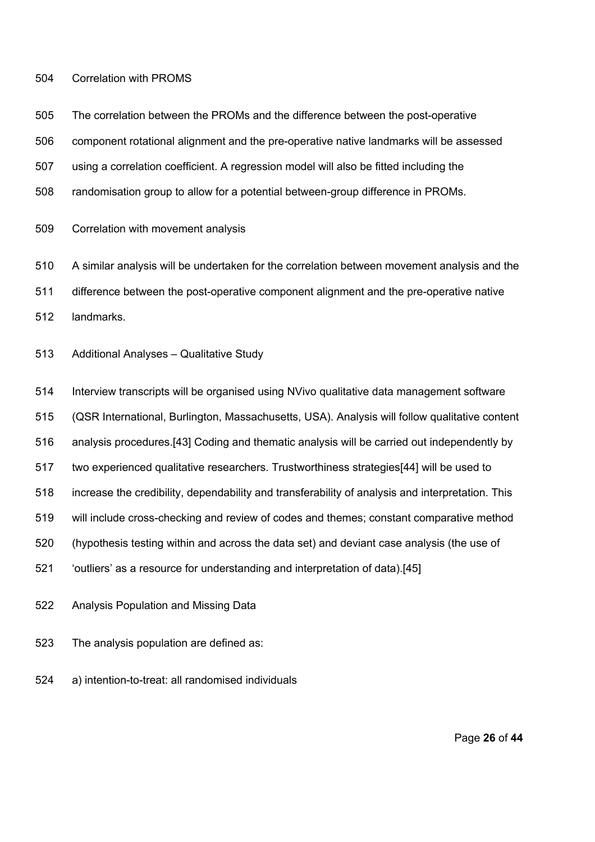#### Correlation with PROMS

 The correlation between the PROMs and the difference between the post-operative component rotational alignment and the pre-operative native landmarks will be assessed using a correlation coefficient. A regression model will also be fitted including the randomisation group to allow for a potential between-group difference in PROMs.

Correlation with movement analysis

 A similar analysis will be undertaken for the correlation between movement analysis and the difference between the post-operative component alignment and the pre-operative native landmarks.

Additional Analyses – Qualitative Study

 Interview transcripts will be organised using NVivo qualitative data management software (QSR International, Burlington, Massachusetts, USA). Analysis will follow qualitative content analysis procedures.[43] Coding and thematic analysis will be carried out independently by two experienced qualitative researchers. Trustworthiness strategies[44] will be used to increase the credibility, dependability and transferability of analysis and interpretation. This will include cross-checking and review of codes and themes; constant comparative method (hypothesis testing within and across the data set) and deviant case analysis (the use of 'outliers' as a resource for understanding and interpretation of data).[45]

- Analysis Population and Missing Data
- The analysis population are defined as:
- a) intention-to-treat: all randomised individuals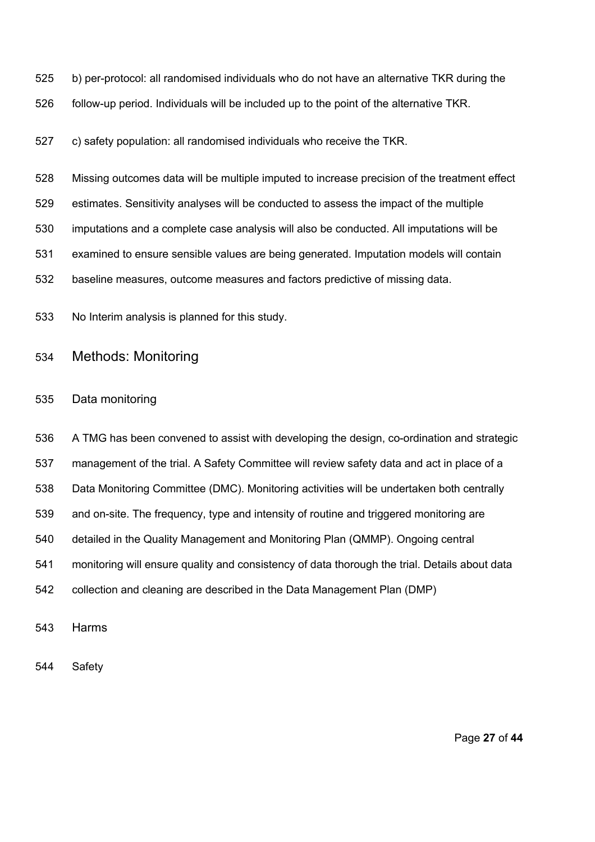b) per-protocol: all randomised individuals who do not have an alternative TKR during the follow-up period. Individuals will be included up to the point of the alternative TKR.

c) safety population: all randomised individuals who receive the TKR.

Missing outcomes data will be multiple imputed to increase precision of the treatment effect

estimates. Sensitivity analyses will be conducted to assess the impact of the multiple

imputations and a complete case analysis will also be conducted. All imputations will be

examined to ensure sensible values are being generated. Imputation models will contain

baseline measures, outcome measures and factors predictive of missing data.

No Interim analysis is planned for this study.

Methods: Monitoring

Data monitoring

 A TMG has been convened to assist with developing the design, co-ordination and strategic management of the trial. A Safety Committee will review safety data and act in place of a Data Monitoring Committee (DMC). Monitoring activities will be undertaken both centrally and on-site. The frequency, type and intensity of routine and triggered monitoring are detailed in the Quality Management and Monitoring Plan (QMMP). Ongoing central monitoring will ensure quality and consistency of data thorough the trial. Details about data collection and cleaning are described in the Data Management Plan (DMP)

Harms

Safety

Page **27** of **44**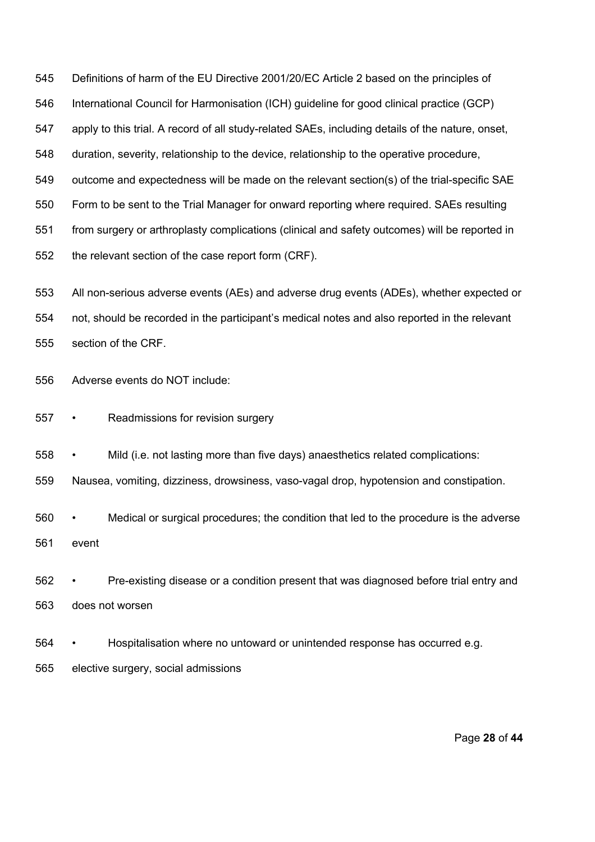Definitions of harm of the EU Directive 2001/20/EC Article 2 based on the principles of International Council for Harmonisation (ICH) guideline for good clinical practice (GCP) apply to this trial. A record of all study-related SAEs, including details of the nature, onset, duration, severity, relationship to the device, relationship to the operative procedure, outcome and expectedness will be made on the relevant section(s) of the trial-specific SAE Form to be sent to the Trial Manager for onward reporting where required. SAEs resulting from surgery or arthroplasty complications (clinical and safety outcomes) will be reported in the relevant section of the case report form (CRF).

 All non-serious adverse events (AEs) and adverse drug events (ADEs), whether expected or not, should be recorded in the participant's medical notes and also reported in the relevant section of the CRF.

Adverse events do NOT include:

- Readmissions for revision surgery
- Mild (i.e. not lasting more than five days) anaesthetics related complications:

Nausea, vomiting, dizziness, drowsiness, vaso-vagal drop, hypotension and constipation.

 • Medical or surgical procedures; the condition that led to the procedure is the adverse event

 • Pre-existing disease or a condition present that was diagnosed before trial entry and does not worsen

- Hospitalisation where no untoward or unintended response has occurred e.g.
- elective surgery, social admissions

Page **28** of **44**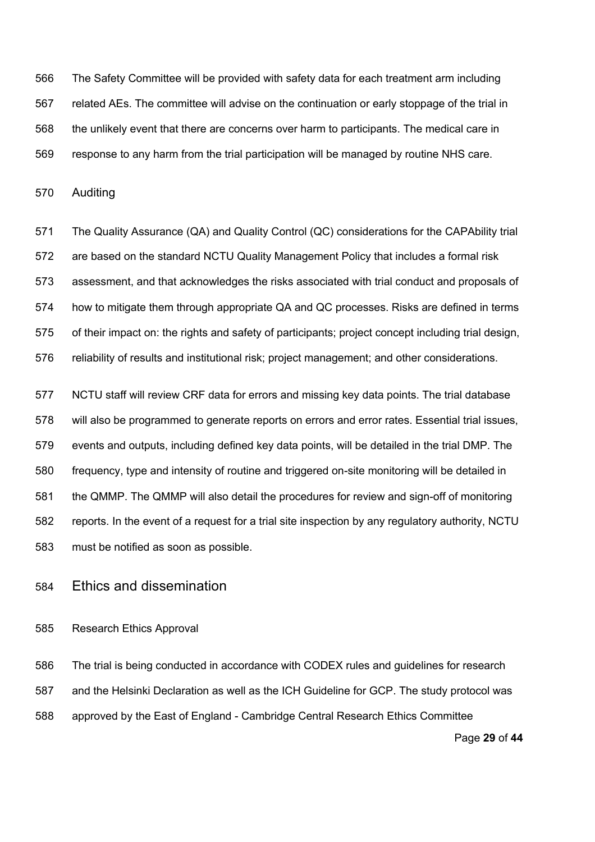The Safety Committee will be provided with safety data for each treatment arm including related AEs. The committee will advise on the continuation or early stoppage of the trial in the unlikely event that there are concerns over harm to participants. The medical care in response to any harm from the trial participation will be managed by routine NHS care.

Auditing

 The Quality Assurance (QA) and Quality Control (QC) considerations for the CAPAbility trial are based on the standard NCTU Quality Management Policy that includes a formal risk assessment, and that acknowledges the risks associated with trial conduct and proposals of how to mitigate them through appropriate QA and QC processes. Risks are defined in terms of their impact on: the rights and safety of participants; project concept including trial design, reliability of results and institutional risk; project management; and other considerations.

 NCTU staff will review CRF data for errors and missing key data points. The trial database will also be programmed to generate reports on errors and error rates. Essential trial issues, events and outputs, including defined key data points, will be detailed in the trial DMP. The frequency, type and intensity of routine and triggered on-site monitoring will be detailed in the QMMP. The QMMP will also detail the procedures for review and sign-off of monitoring reports. In the event of a request for a trial site inspection by any regulatory authority, NCTU must be notified as soon as possible.

Ethics and dissemination

Research Ethics Approval

Page **29** of **44** The trial is being conducted in accordance with CODEX rules and guidelines for research and the Helsinki Declaration as well as the ICH Guideline for GCP. The study protocol was approved by the East of England - Cambridge Central Research Ethics Committee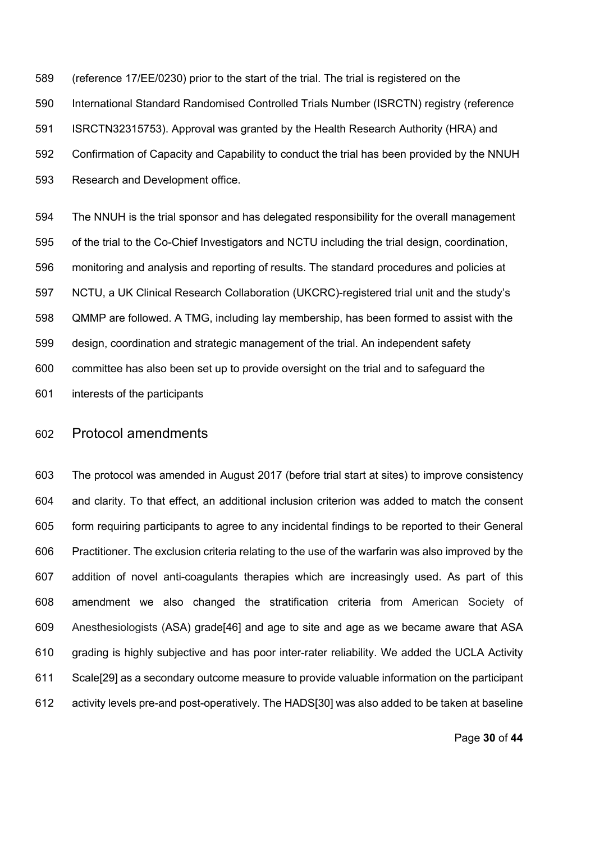(reference 17/EE/0230) prior to the start of the trial. The trial is registered on the International Standard Randomised Controlled Trials Number (ISRCTN) registry (reference ISRCTN32315753). Approval was granted by the Health Research Authority (HRA) and Confirmation of Capacity and Capability to conduct the trial has been provided by the NNUH Research and Development office.

 The NNUH is the trial sponsor and has delegated responsibility for the overall management of the trial to the Co-Chief Investigators and NCTU including the trial design, coordination, monitoring and analysis and reporting of results. The standard procedures and policies at NCTU, a UK Clinical Research Collaboration (UKCRC)-registered trial unit and the study's QMMP are followed. A TMG, including lay membership, has been formed to assist with the design, coordination and strategic management of the trial. An independent safety committee has also been set up to provide oversight on the trial and to safeguard the interests of the participants

# Protocol amendments

 The protocol was amended in August 2017 (before trial start at sites) to improve consistency and clarity. To that effect, an additional inclusion criterion was added to match the consent form requiring participants to agree to any incidental findings to be reported to their General Practitioner. The exclusion criteria relating to the use of the warfarin was also improved by the addition of novel anti-coagulants therapies which are increasingly used. As part of this amendment we also changed the stratification criteria from American Society of Anesthesiologists (ASA) grade[46] and age to site and age as we became aware that ASA grading is highly subjective and has poor inter-rater reliability. We added the UCLA Activity Scale[29] as a secondary outcome measure to provide valuable information on the participant activity levels pre-and post-operatively. The HADS[30] was also added to be taken at baseline

Page **30** of **44**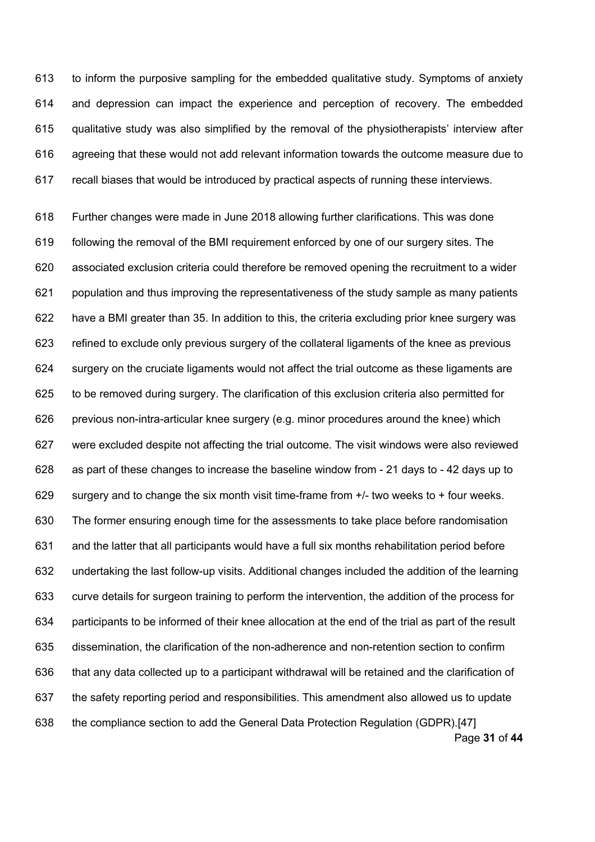to inform the purposive sampling for the embedded qualitative study. Symptoms of anxiety and depression can impact the experience and perception of recovery. The embedded qualitative study was also simplified by the removal of the physiotherapists' interview after agreeing that these would not add relevant information towards the outcome measure due to recall biases that would be introduced by practical aspects of running these interviews.

Page **31** of **44** Further changes were made in June 2018 allowing further clarifications. This was done following the removal of the BMI requirement enforced by one of our surgery sites. The associated exclusion criteria could therefore be removed opening the recruitment to a wider population and thus improving the representativeness of the study sample as many patients have a BMI greater than 35. In addition to this, the criteria excluding prior knee surgery was refined to exclude only previous surgery of the collateral ligaments of the knee as previous surgery on the cruciate ligaments would not affect the trial outcome as these ligaments are to be removed during surgery. The clarification of this exclusion criteria also permitted for previous non-intra-articular knee surgery (e.g. minor procedures around the knee) which were excluded despite not affecting the trial outcome. The visit windows were also reviewed as part of these changes to increase the baseline window from - 21 days to - 42 days up to 629 surgery and to change the six month visit time-frame from  $+/-$  two weeks to  $+$  four weeks. The former ensuring enough time for the assessments to take place before randomisation and the latter that all participants would have a full six months rehabilitation period before undertaking the last follow-up visits. Additional changes included the addition of the learning curve details for surgeon training to perform the intervention, the addition of the process for participants to be informed of their knee allocation at the end of the trial as part of the result dissemination, the clarification of the non-adherence and non-retention section to confirm that any data collected up to a participant withdrawal will be retained and the clarification of the safety reporting period and responsibilities. This amendment also allowed us to update the compliance section to add the General Data Protection Regulation (GDPR).[47]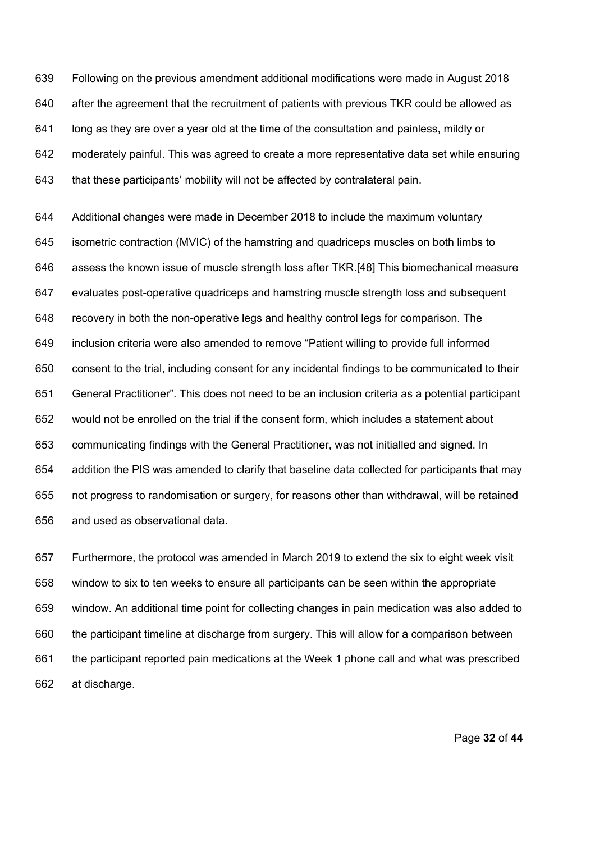Following on the previous amendment additional modifications were made in August 2018 after the agreement that the recruitment of patients with previous TKR could be allowed as long as they are over a year old at the time of the consultation and painless, mildly or moderately painful. This was agreed to create a more representative data set while ensuring that these participants' mobility will not be affected by contralateral pain.

 Additional changes were made in December 2018 to include the maximum voluntary isometric contraction (MVIC) of the hamstring and quadriceps muscles on both limbs to assess the known issue of muscle strength loss after TKR.[48] This biomechanical measure evaluates post-operative quadriceps and hamstring muscle strength loss and subsequent recovery in both the non-operative legs and healthy control legs for comparison. The inclusion criteria were also amended to remove "Patient willing to provide full informed consent to the trial, including consent for any incidental findings to be communicated to their General Practitioner". This does not need to be an inclusion criteria as a potential participant would not be enrolled on the trial if the consent form, which includes a statement about communicating findings with the General Practitioner, was not initialled and signed. In addition the PIS was amended to clarify that baseline data collected for participants that may not progress to randomisation or surgery, for reasons other than withdrawal, will be retained and used as observational data.

 Furthermore, the protocol was amended in March 2019 to extend the six to eight week visit window to six to ten weeks to ensure all participants can be seen within the appropriate window. An additional time point for collecting changes in pain medication was also added to the participant timeline at discharge from surgery. This will allow for a comparison between the participant reported pain medications at the Week 1 phone call and what was prescribed at discharge.

Page **32** of **44**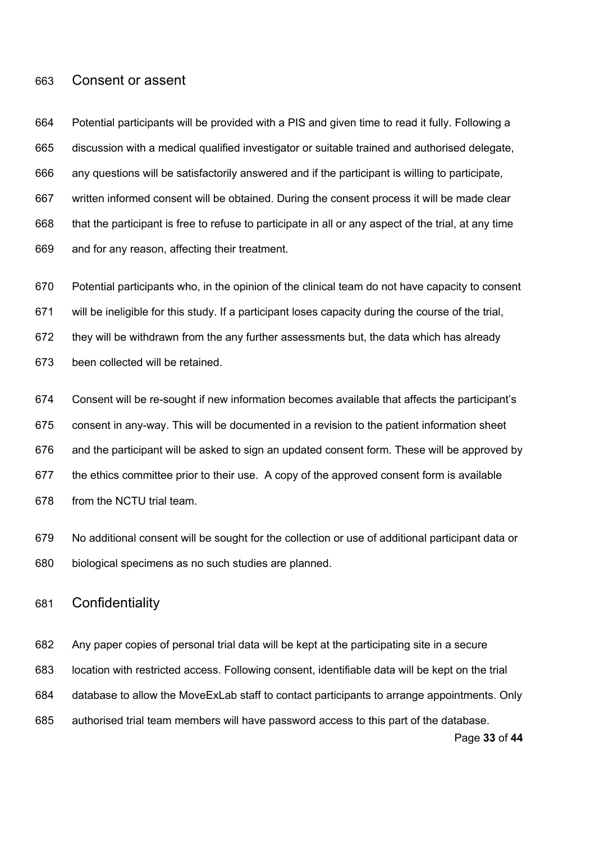## Consent or assent

 Potential participants will be provided with a PIS and given time to read it fully. Following a discussion with a medical qualified investigator or suitable trained and authorised delegate, any questions will be satisfactorily answered and if the participant is willing to participate, written informed consent will be obtained. During the consent process it will be made clear that the participant is free to refuse to participate in all or any aspect of the trial, at any time and for any reason, affecting their treatment.

 Potential participants who, in the opinion of the clinical team do not have capacity to consent will be ineligible for this study. If a participant loses capacity during the course of the trial, they will be withdrawn from the any further assessments but, the data which has already been collected will be retained.

 Consent will be re-sought if new information becomes available that affects the participant's consent in any-way. This will be documented in a revision to the patient information sheet and the participant will be asked to sign an updated consent form. These will be approved by the ethics committee prior to their use. A copy of the approved consent form is available from the NCTU trial team.

 No additional consent will be sought for the collection or use of additional participant data or biological specimens as no such studies are planned.

# Confidentiality

Page **33** of **44** Any paper copies of personal trial data will be kept at the participating site in a secure location with restricted access. Following consent, identifiable data will be kept on the trial database to allow the MoveExLab staff to contact participants to arrange appointments. Only authorised trial team members will have password access to this part of the database.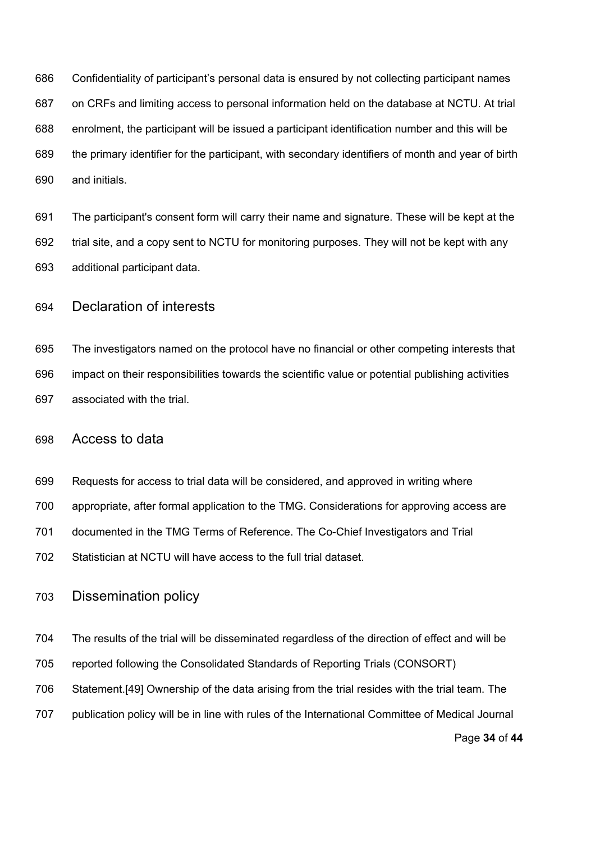Confidentiality of participant's personal data is ensured by not collecting participant names on CRFs and limiting access to personal information held on the database at NCTU. At trial enrolment, the participant will be issued a participant identification number and this will be the primary identifier for the participant, with secondary identifiers of month and year of birth and initials.

 The participant's consent form will carry their name and signature. These will be kept at the trial site, and a copy sent to NCTU for monitoring purposes. They will not be kept with any additional participant data.

# Declaration of interests

 The investigators named on the protocol have no financial or other competing interests that impact on their responsibilities towards the scientific value or potential publishing activities associated with the trial.

## Access to data

Requests for access to trial data will be considered, and approved in writing where

appropriate, after formal application to the TMG. Considerations for approving access are

documented in the TMG Terms of Reference. The Co-Chief Investigators and Trial

Statistician at NCTU will have access to the full trial dataset.

# Dissemination policy

The results of the trial will be disseminated regardless of the direction of effect and will be

reported following the Consolidated Standards of Reporting Trials (CONSORT)

Statement.[49] Ownership of the data arising from the trial resides with the trial team. The

publication policy will be in line with rules of the International Committee of Medical Journal

Page **34** of **44**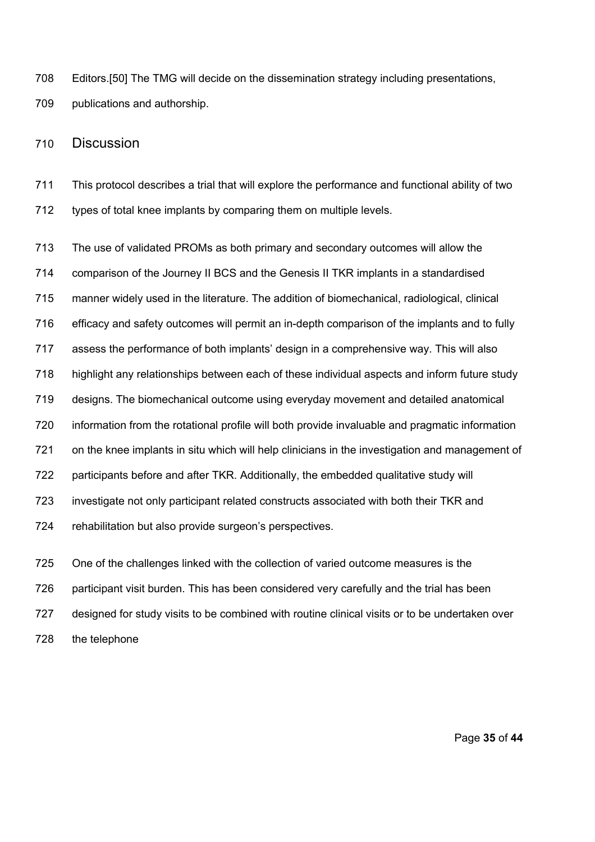Editors.[50] The TMG will decide on the dissemination strategy including presentations, publications and authorship.

# Discussion

 This protocol describes a trial that will explore the performance and functional ability of two types of total knee implants by comparing them on multiple levels.

 The use of validated PROMs as both primary and secondary outcomes will allow the comparison of the Journey II BCS and the Genesis II TKR implants in a standardised manner widely used in the literature. The addition of biomechanical, radiological, clinical efficacy and safety outcomes will permit an in-depth comparison of the implants and to fully assess the performance of both implants' design in a comprehensive way. This will also highlight any relationships between each of these individual aspects and inform future study designs. The biomechanical outcome using everyday movement and detailed anatomical information from the rotational profile will both provide invaluable and pragmatic information on the knee implants in situ which will help clinicians in the investigation and management of participants before and after TKR. Additionally, the embedded qualitative study will investigate not only participant related constructs associated with both their TKR and rehabilitation but also provide surgeon's perspectives.

 One of the challenges linked with the collection of varied outcome measures is the 726 participant visit burden. This has been considered very carefully and the trial has been designed for study visits to be combined with routine clinical visits or to be undertaken over the telephone

Page **35** of **44**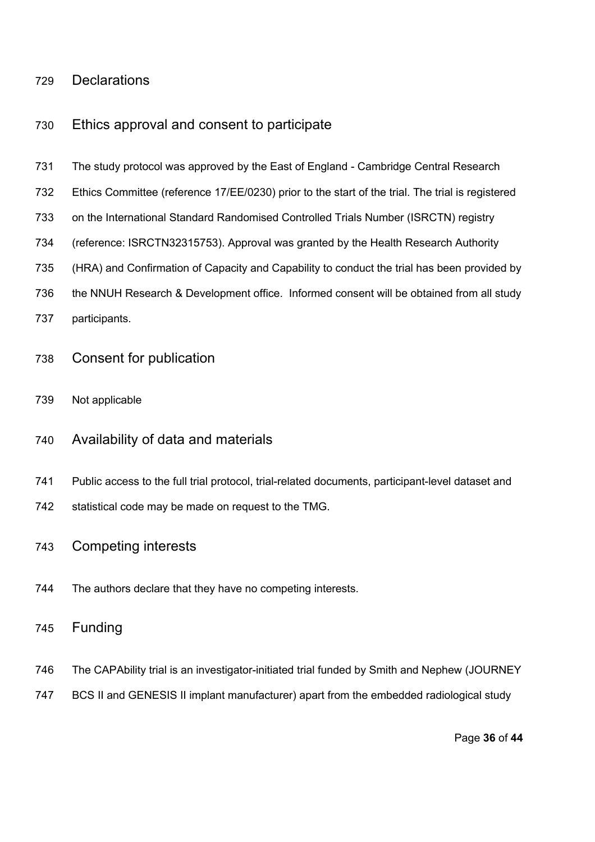# Declarations

# Ethics approval and consent to participate

- The study protocol was approved by the East of England Cambridge Central Research
- Ethics Committee (reference 17/EE/0230) prior to the start of the trial. The trial is registered
- on the International Standard Randomised Controlled Trials Number (ISRCTN) registry
- (reference: ISRCTN32315753). Approval was granted by the Health Research Authority
- (HRA) and Confirmation of Capacity and Capability to conduct the trial has been provided by
- the NNUH Research & Development office. Informed consent will be obtained from all study
- participants.
- Consent for publication
- Not applicable
- Availability of data and materials
- Public access to the full trial protocol, trial-related documents, participant-level dataset and
- 742 statistical code may be made on request to the TMG.
- Competing interests
- The authors declare that they have no competing interests.
- Funding
- The CAPAbility trial is an investigator-initiated trial funded by Smith and Nephew (JOURNEY
- BCS II and GENESIS II implant manufacturer) apart from the embedded radiological study

Page **36** of **44**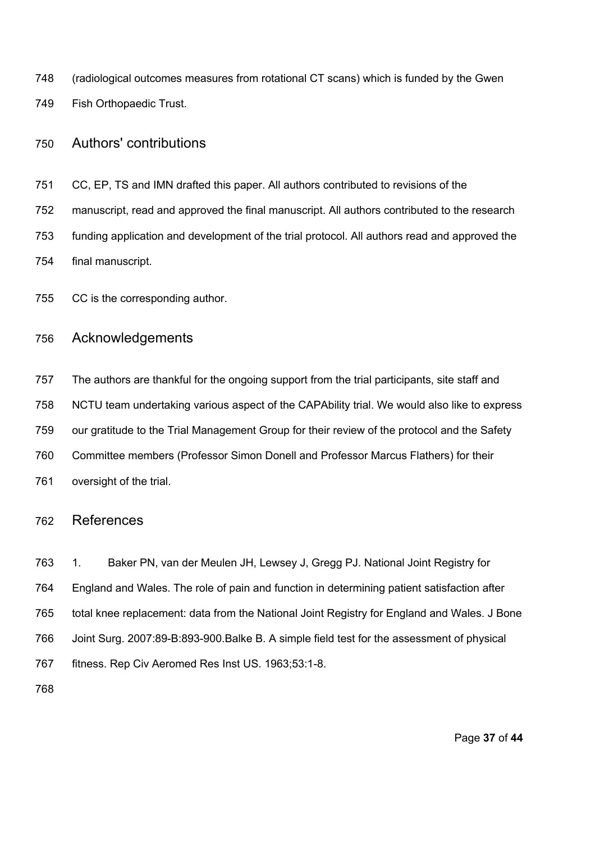(radiological outcomes measures from rotational CT scans) which is funded by the Gwen Fish Orthopaedic Trust.

# Authors' contributions

CC, EP, TS and IMN drafted this paper. All authors contributed to revisions of the

manuscript, read and approved the final manuscript. All authors contributed to the research

 funding application and development of the trial protocol. All authors read and approved the final manuscript.

CC is the corresponding author.

# Acknowledgements

 The authors are thankful for the ongoing support from the trial participants, site staff and NCTU team undertaking various aspect of the CAPAbility trial. We would also like to express our gratitude to the Trial Management Group for their review of the protocol and the Safety Committee members (Professor Simon Donell and Professor Marcus Flathers) for their oversight of the trial.

## References

 1. Baker PN, van der Meulen JH, Lewsey J, Gregg PJ. National Joint Registry for England and Wales. The role of pain and function in determining patient satisfaction after total knee replacement: data from the National Joint Registry for England and Wales. J Bone Joint Surg. 2007:89-B:893-900.Balke B. A simple field test for the assessment of physical fitness. Rep Civ Aeromed Res Inst US. 1963;53:1-8.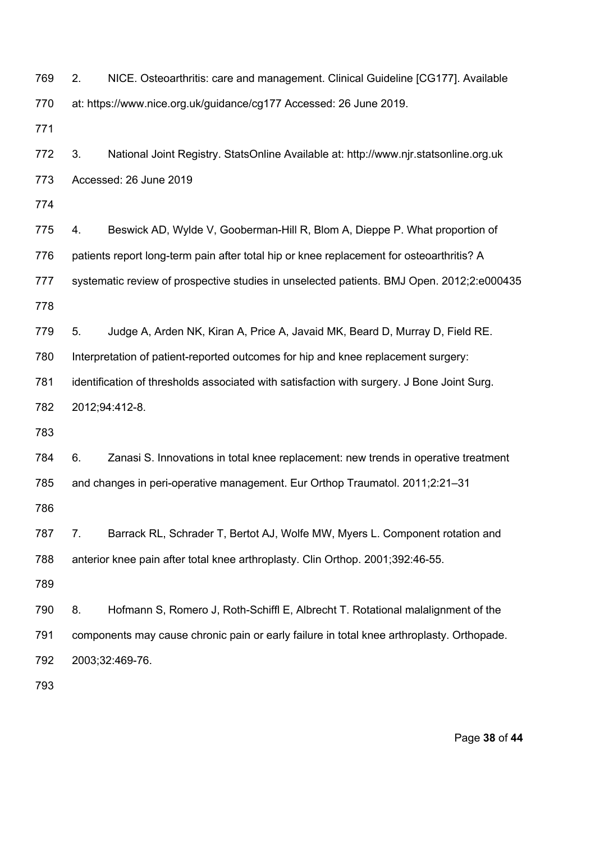| 769 | 2.                                                                                         | NICE. Osteoarthritis: care and management. Clinical Guideline [CG177]. Available          |  |  |  |
|-----|--------------------------------------------------------------------------------------------|-------------------------------------------------------------------------------------------|--|--|--|
| 770 |                                                                                            | at: https://www.nice.org.uk/guidance/cg177 Accessed: 26 June 2019.                        |  |  |  |
| 771 |                                                                                            |                                                                                           |  |  |  |
| 772 | 3.                                                                                         | National Joint Registry. StatsOnline Available at: http://www.njr.statsonline.org.uk      |  |  |  |
| 773 |                                                                                            | Accessed: 26 June 2019                                                                    |  |  |  |
| 774 |                                                                                            |                                                                                           |  |  |  |
| 775 | 4.                                                                                         | Beswick AD, Wylde V, Gooberman-Hill R, Blom A, Dieppe P. What proportion of               |  |  |  |
| 776 |                                                                                            | patients report long-term pain after total hip or knee replacement for osteoarthritis? A  |  |  |  |
| 777 |                                                                                            | systematic review of prospective studies in unselected patients. BMJ Open. 2012;2:e000435 |  |  |  |
| 778 |                                                                                            |                                                                                           |  |  |  |
| 779 | 5.                                                                                         | Judge A, Arden NK, Kiran A, Price A, Javaid MK, Beard D, Murray D, Field RE.              |  |  |  |
| 780 | Interpretation of patient-reported outcomes for hip and knee replacement surgery:          |                                                                                           |  |  |  |
| 781 | identification of thresholds associated with satisfaction with surgery. J Bone Joint Surg. |                                                                                           |  |  |  |
| 782 |                                                                                            | 2012;94:412-8.                                                                            |  |  |  |
| 783 |                                                                                            |                                                                                           |  |  |  |
| 784 | 6.                                                                                         | Zanasi S. Innovations in total knee replacement: new trends in operative treatment        |  |  |  |
| 785 |                                                                                            | and changes in peri-operative management. Eur Orthop Traumatol. 2011;2:21-31              |  |  |  |
| 786 |                                                                                            |                                                                                           |  |  |  |
| 787 | 7.                                                                                         | Barrack RL, Schrader T, Bertot AJ, Wolfe MW, Myers L. Component rotation and              |  |  |  |
| 788 |                                                                                            | anterior knee pain after total knee arthroplasty. Clin Orthop. 2001;392:46-55.            |  |  |  |
| 789 |                                                                                            |                                                                                           |  |  |  |
| 790 | 8.                                                                                         | Hofmann S, Romero J, Roth-Schiffl E, Albrecht T. Rotational malalignment of the           |  |  |  |
| 791 |                                                                                            | components may cause chronic pain or early failure in total knee arthroplasty. Orthopade. |  |  |  |
| 792 |                                                                                            | 2003;32:469-76.                                                                           |  |  |  |
| 793 |                                                                                            |                                                                                           |  |  |  |

Page **38** of **44**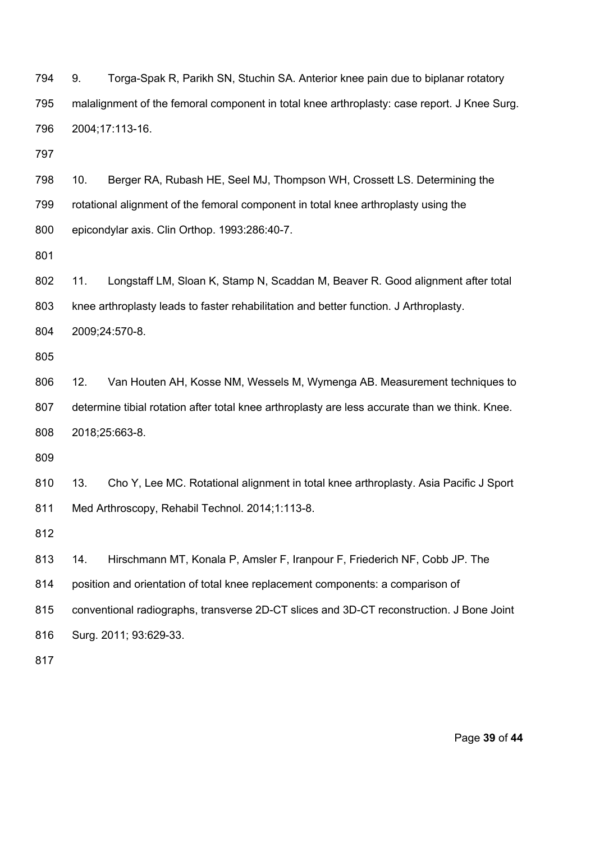9. Torga-Spak R, Parikh SN, Stuchin SA. Anterior knee pain due to biplanar rotatory malalignment of the femoral component in total knee arthroplasty: case report. J Knee Surg. 2004;17:113-16.

 10. Berger RA, Rubash HE, Seel MJ, Thompson WH, Crossett LS. Determining the rotational alignment of the femoral component in total knee arthroplasty using the epicondylar axis. Clin Orthop. 1993:286:40-7.

 11. Longstaff LM, Sloan K, Stamp N, Scaddan M, Beaver R. Good alignment after total knee arthroplasty leads to faster rehabilitation and better function. J Arthroplasty.

2009;24:570-8.

 12. Van Houten AH, Kosse NM, Wessels M, Wymenga AB. Measurement techniques to determine tibial rotation after total knee arthroplasty are less accurate than we think. Knee. 2018;25:663-8.

810 13. Cho Y, Lee MC. Rotational alignment in total knee arthroplasty. Asia Pacific J Sport Med Arthroscopy, Rehabil Technol. 2014;1:113-8.

14. Hirschmann MT, Konala P, Amsler F, Iranpour F, Friederich NF, Cobb JP. The

position and orientation of total knee replacement components: a comparison of

conventional radiographs, transverse 2D-CT slices and 3D-CT reconstruction. J Bone Joint

Surg. 2011; 93:629-33.

Page **39** of **44**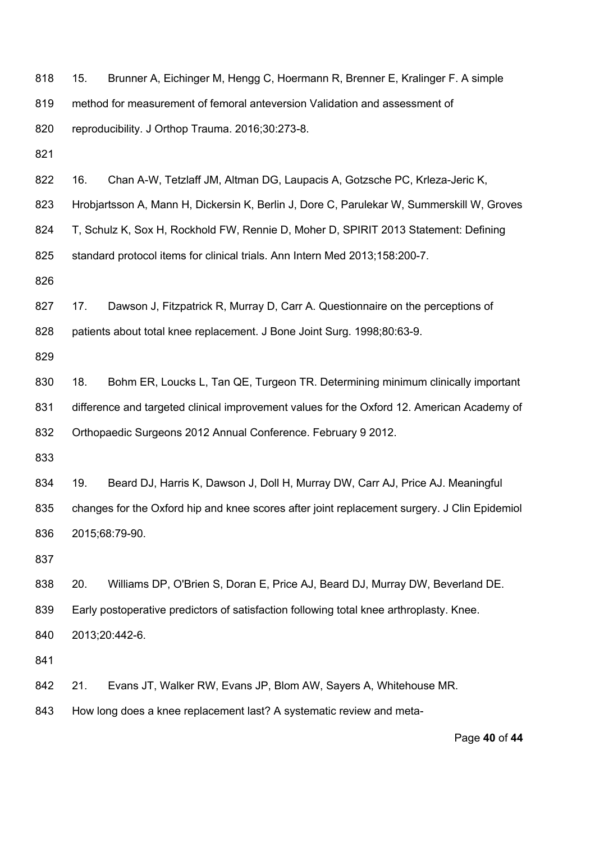| 818 | 15.<br>Brunner A, Eichinger M, Hengg C, Hoermann R, Brenner E, Kralinger F. A simple      |
|-----|-------------------------------------------------------------------------------------------|
| 819 | method for measurement of femoral anteversion Validation and assessment of                |
| 820 | reproducibility. J Orthop Trauma. 2016;30:273-8.                                          |
| 821 |                                                                                           |
| 822 | Chan A-W, Tetzlaff JM, Altman DG, Laupacis A, Gotzsche PC, Krleza-Jeric K,<br>16.         |
| 823 | Hrobjartsson A, Mann H, Dickersin K, Berlin J, Dore C, Parulekar W, Summerskill W, Groves |
| 824 | T, Schulz K, Sox H, Rockhold FW, Rennie D, Moher D, SPIRIT 2013 Statement: Defining       |
| 825 | standard protocol items for clinical trials. Ann Intern Med 2013;158:200-7.               |
| 826 |                                                                                           |
| 827 | 17.<br>Dawson J, Fitzpatrick R, Murray D, Carr A. Questionnaire on the perceptions of     |

patients about total knee replacement. J Bone Joint Surg. 1998;80:63-9.

830 18. Bohm ER, Loucks L, Tan QE, Turgeon TR. Determining minimum clinically important difference and targeted clinical improvement values for the Oxford 12. American Academy of Orthopaedic Surgeons 2012 Annual Conference. February 9 2012.

 19. Beard DJ, Harris K, Dawson J, Doll H, Murray DW, Carr AJ, Price AJ. Meaningful changes for the Oxford hip and knee scores after joint replacement surgery. J Clin Epidemiol 2015;68:79-90.

20. Williams DP, O'Brien S, Doran E, Price AJ, Beard DJ, Murray DW, Beverland DE.

Early postoperative predictors of satisfaction following total knee arthroplasty. Knee.

2013;20:442-6.

21. Evans JT, Walker RW, Evans JP, Blom AW, Sayers A, Whitehouse MR.

843 How long does a knee replacement last? A systematic review and meta-

Page **40** of **44**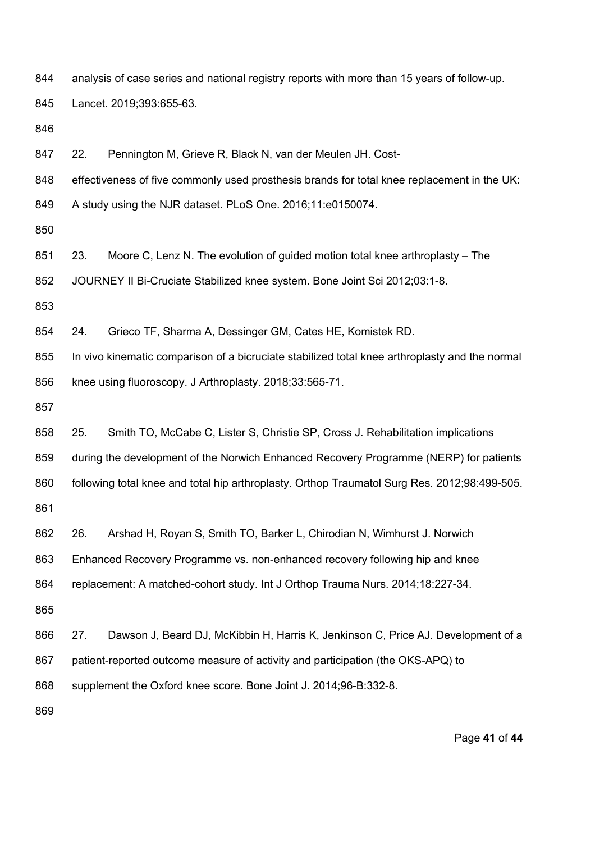analysis of case series and national registry reports with more than 15 years of follow-up.

Lancet. 2019;393:655-63.

- 22. Pennington M, Grieve R, Black N, van der Meulen JH. Cost-
- 848 effectiveness of five commonly used prosthesis brands for total knee replacement in the UK:
- A study using the NJR dataset. PLoS One. 2016;11:e0150074.

23. Moore C, Lenz N. The evolution of guided motion total knee arthroplasty – The

JOURNEY II Bi-Cruciate Stabilized knee system. Bone Joint Sci 2012;03:1-8.

24. Grieco TF, Sharma A, Dessinger GM, Cates HE, Komistek RD.

In vivo kinematic comparison of a bicruciate stabilized total knee arthroplasty and the normal

knee using fluoroscopy. J Arthroplasty. 2018;33:565-71.

25. Smith TO, McCabe C, Lister S, Christie SP, Cross J. Rehabilitation implications

during the development of the Norwich Enhanced Recovery Programme (NERP) for patients

following total knee and total hip arthroplasty. Orthop Traumatol Surg Res. 2012;98:499-505.

26. Arshad H, Royan S, Smith TO, Barker L, Chirodian N, Wimhurst J. Norwich

Enhanced Recovery Programme vs. non-enhanced recovery following hip and knee

replacement: A matched-cohort study. Int J Orthop Trauma Nurs. 2014;18:227-34.

866 27. Dawson J, Beard DJ, McKibbin H, Harris K, Jenkinson C, Price AJ. Development of a patient-reported outcome measure of activity and participation (the OKS-APQ) to supplement the Oxford knee score. Bone Joint J. 2014;96-B:332-8.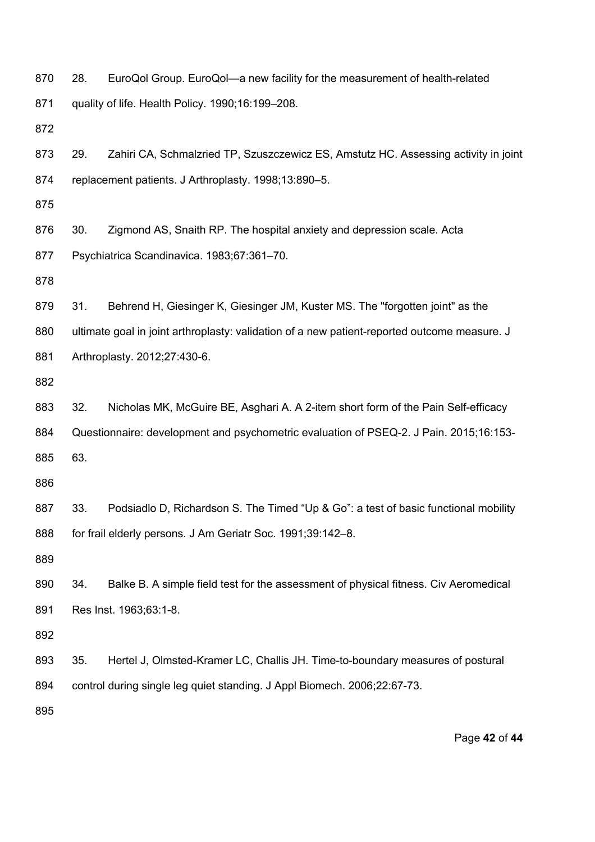| 870 | 28. | EuroQol Group. EuroQol—a new facility for the measurement of health-related                  |
|-----|-----|----------------------------------------------------------------------------------------------|
| 871 |     | quality of life. Health Policy. 1990;16:199-208.                                             |
| 872 |     |                                                                                              |
| 873 | 29. | Zahiri CA, Schmalzried TP, Szuszczewicz ES, Amstutz HC. Assessing activity in joint          |
| 874 |     | replacement patients. J Arthroplasty. 1998;13:890-5.                                         |
| 875 |     |                                                                                              |
| 876 | 30. | Zigmond AS, Snaith RP. The hospital anxiety and depression scale. Acta                       |
| 877 |     | Psychiatrica Scandinavica. 1983;67:361-70.                                                   |
| 878 |     |                                                                                              |
| 879 | 31. | Behrend H, Giesinger K, Giesinger JM, Kuster MS. The "forgotten joint" as the                |
| 880 |     | ultimate goal in joint arthroplasty: validation of a new patient-reported outcome measure. J |
| 881 |     | Arthroplasty. 2012;27:430-6.                                                                 |
| 882 |     |                                                                                              |
| 883 | 32. | Nicholas MK, McGuire BE, Asghari A. A 2-item short form of the Pain Self-efficacy            |
| 884 |     | Questionnaire: development and psychometric evaluation of PSEQ-2. J Pain. 2015;16:153-       |
| 885 | 63. |                                                                                              |
| 886 |     |                                                                                              |
| 887 | 33. | Podsiadlo D, Richardson S. The Timed "Up & Go": a test of basic functional mobility          |
| 888 |     | for frail elderly persons. J Am Geriatr Soc. 1991;39:142-8.                                  |
| 889 |     |                                                                                              |
| 890 | 34. | Balke B. A simple field test for the assessment of physical fitness. Civ Aeromedical         |
| 891 |     | Res Inst. 1963;63:1-8.                                                                       |
| 892 |     |                                                                                              |
| 893 | 35. | Hertel J, Olmsted-Kramer LC, Challis JH. Time-to-boundary measures of postural               |
| 894 |     | control during single leg quiet standing. J Appl Biomech. 2006;22:67-73.                     |
| 895 |     |                                                                                              |

Page **42** of **44**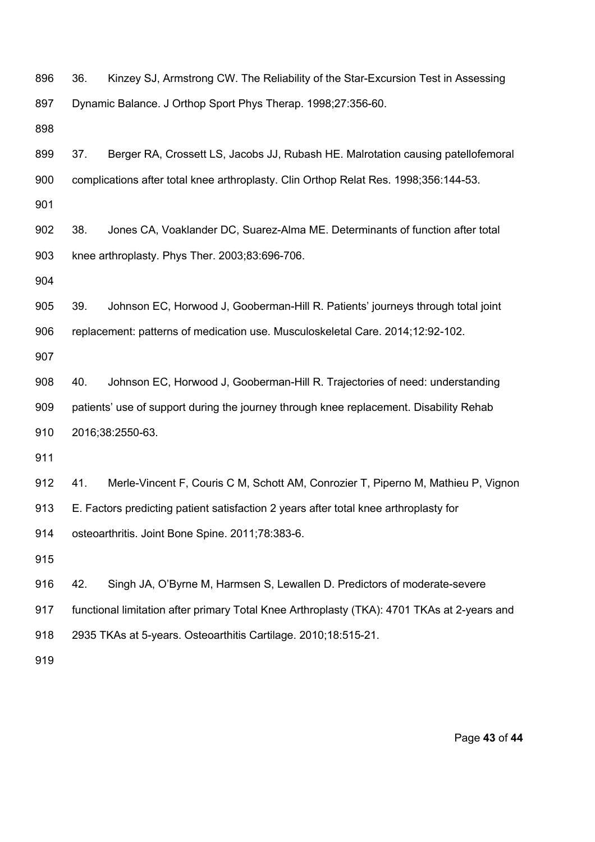| 896 | 36. | Kinzey SJ, Armstrong CW. The Reliability of the Star-Excursion Test in Assessing            |
|-----|-----|---------------------------------------------------------------------------------------------|
| 897 |     | Dynamic Balance. J Orthop Sport Phys Therap. 1998;27:356-60.                                |
| 898 |     |                                                                                             |
| 899 | 37. | Berger RA, Crossett LS, Jacobs JJ, Rubash HE. Malrotation causing patellofemoral            |
| 900 |     | complications after total knee arthroplasty. Clin Orthop Relat Res. 1998;356:144-53.        |
| 901 |     |                                                                                             |
| 902 | 38. | Jones CA, Voaklander DC, Suarez-Alma ME. Determinants of function after total               |
| 903 |     | knee arthroplasty. Phys Ther. 2003;83:696-706.                                              |
| 904 |     |                                                                                             |
| 905 | 39. | Johnson EC, Horwood J, Gooberman-Hill R. Patients' journeys through total joint             |
| 906 |     | replacement: patterns of medication use. Musculoskeletal Care. 2014;12:92-102.              |
| 907 |     |                                                                                             |
| 908 | 40. | Johnson EC, Horwood J, Gooberman-Hill R. Trajectories of need: understanding                |
| 909 |     | patients' use of support during the journey through knee replacement. Disability Rehab      |
| 910 |     | 2016;38:2550-63.                                                                            |
| 911 |     |                                                                                             |
| 912 | 41. | Merle-Vincent F, Couris C M, Schott AM, Conrozier T, Piperno M, Mathieu P, Vignon           |
| 913 |     | E. Factors predicting patient satisfaction 2 years after total knee arthroplasty for        |
| 914 |     | osteoarthritis. Joint Bone Spine. 2011;78:383-6.                                            |
| 915 |     |                                                                                             |
| 916 | 42. | Singh JA, O'Byrne M, Harmsen S, Lewallen D. Predictors of moderate-severe                   |
| 917 |     | functional limitation after primary Total Knee Arthroplasty (TKA): 4701 TKAs at 2-years and |
| 918 |     | 2935 TKAs at 5-years. Osteoarthitis Cartilage. 2010;18:515-21.                              |
| 919 |     |                                                                                             |

Page **43** of **44**